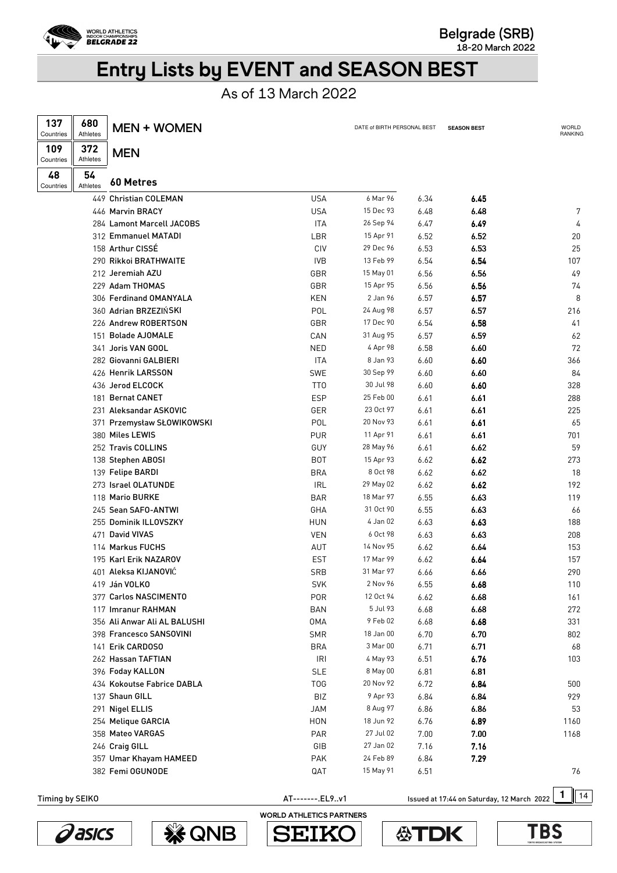

**Belgrade (SRB)** 

**18-20 March 2022** 

# Entry Lists by EVENT and SEASON BEST

As of 13 March 2022

| 137<br>Countries | 680<br>Athletes | <b>MEN + WOMEN</b>           |                  | DATE of BIRTH PERSONAL BEST |      | <b>SEASON BEST</b> | <b>WORLD</b><br>RANKING |
|------------------|-----------------|------------------------------|------------------|-----------------------------|------|--------------------|-------------------------|
| 109<br>Countries | 372<br>Athletes | <b>MEN</b>                   |                  |                             |      |                    |                         |
| 48<br>Countries  | 54<br>Athletes  | 60 Metres                    |                  |                             |      |                    |                         |
|                  |                 | 449 Christian COLEMAN        | <b>USA</b>       | 6 Mar 96                    | 6.34 | 6.45               |                         |
|                  |                 | 446 Marvin BRACY             | <b>USA</b>       | 15 Dec 93                   | 6.48 | 6.48               | 7                       |
|                  |                 | 284 Lamont Marcell JACOBS    | <b>ITA</b>       | 26 Sep 94                   | 6.47 | 6.49               | 4                       |
|                  |                 | 312 Emmanuel MATADI          | LBR              | 15 Apr 91                   | 6.52 | 6.52               | 20                      |
|                  |                 | 158 Arthur CISSE             | CIV              | 29 Dec 96                   | 6.53 | 6.53               | 25                      |
|                  |                 | 290 Rikkoi BRATHWAITE        | <b>IVB</b>       | 13 Feb 99                   | 6.54 | 6.54               | 107                     |
|                  |                 | 212 Jeremiah AZU             | GBR              | 15 May 01                   | 6.56 | 6.56               | 49                      |
|                  |                 | 229 Adam THOMAS              | GBR              | 15 Apr 95                   | 6.56 | 6.56               | 74                      |
|                  |                 | 306 Ferdinand OMANYALA       | <b>KEN</b>       | 2 Jan 96                    | 6.57 | 6.57               | 8                       |
|                  |                 | 360 Adrian BRZEZIŃSKI        | POL              | 24 Aug 98                   | 6.57 | 6.57               | 216                     |
|                  |                 | 226 Andrew ROBERTSON         | GBR              | 17 Dec 90                   | 6.54 | 6.58               | 41                      |
|                  |                 | 151 Bolade AJOMALE           | CAN              | 31 Aug 95                   | 6.57 | 6.59               | 62                      |
|                  |                 | 341 Joris VAN GOOL           | NED              | 4 Apr 98                    | 6.58 | 6.60               | 72                      |
|                  |                 | 282 Giovanni GALBIERI        | <b>ITA</b>       | 8 Jan 93                    | 6.60 | 6.60               | 366                     |
|                  |                 | 426 Henrik LARSSON           | <b>SWE</b>       | 30 Sep 99                   | 6.60 | 6.60               | 84                      |
|                  |                 | 436 Jerod ELCOCK             | TT0              | 30 Jul 98                   | 6.60 | 6.60               | 328                     |
|                  |                 | 181 Bernat CANET             | <b>ESP</b>       | 25 Feb 00                   | 6.61 | 6.61               | 288                     |
|                  |                 | 231 Aleksandar ASKOVIC       | GER              | 23 Oct 97                   | 6.61 | 6.61               | 225                     |
|                  |                 | 371 Przemysław SŁOWIKOWSKI   | POL              | 20 Nov 93                   | 6.61 | 6.61               | 65                      |
|                  |                 | 380 Miles LEWIS              | <b>PUR</b>       | 11 Apr 91                   | 6.61 | 6.61               | 701                     |
|                  |                 | 252 Travis COLLINS           | GUY              | 28 May 96                   | 6.61 | 6.62               | 59                      |
|                  |                 | 138 Stephen ABOSI            | <b>BOT</b>       | 15 Apr 93                   | 6.62 | 6.62               | 273                     |
|                  |                 | 139 Felipe BARDI             | <b>BRA</b>       | 8 Oct 98                    | 6.62 | 6.62               | 18                      |
|                  |                 | 273 Israel OLATUNDE          | <b>IRL</b>       | 29 May 02                   | 6.62 | 6.62               | 192                     |
|                  |                 | 118 Mario BURKE              | <b>BAR</b>       | 18 Mar 97                   | 6.55 | 6.63               | 119                     |
|                  |                 | 245 Sean SAFO-ANTWI          |                  | 31 Oct 90                   |      |                    |                         |
|                  |                 | 255 Dominik ILLOVSZKY        | GHA              | 4 Jan 02                    | 6.55 | 6.63               | 66                      |
|                  |                 |                              | <b>HUN</b>       | 6 Oct 98                    | 6.63 | 6.63               | 188                     |
|                  |                 | 471 David VIVAS              | <b>VEN</b>       | 14 Nov 95                   | 6.63 | 6.63               | 208                     |
|                  |                 | 114 Markus FUCHS             | AUT              |                             | 6.62 | 6.64               | 153                     |
|                  |                 | 195 Karl Erik NAZAROV        | <b>EST</b>       | 17 Mar 99                   | 6.62 | 6.64               | 157                     |
|                  |                 | 401 Aleksa KIJANOVIĆ         | <b>SRB</b>       | 31 Mar 97                   | 6.66 | 6.66               | 290                     |
|                  |                 | 419 Ján VOLKO                | <b>SVK</b>       | 2 Nov 96                    | 6.55 | 6.68               | 110                     |
|                  |                 | 377 Carlos NASCIMENTO        | <b>POR</b>       | 12 Oct 94                   | 6.62 | 6.68               | 161                     |
|                  |                 | 117 Imranur RAHMAN           | <b>BAN</b>       | 5 Jul 93                    | 6.68 | 6.68               | 272                     |
|                  |                 | 356 Ali Anwar Ali AL BALUSHI | <b>OMA</b>       | 9 Feb 02                    | 6.68 | 6.68               | 331                     |
|                  |                 | 398 Francesco SANSOVINI      | <b>SMR</b>       | 18 Jan 00                   | 6.70 | 6.70               | 802                     |
|                  |                 | 141 Erik CARDOSO             | <b>BRA</b>       | 3 Mar 00                    | 6.71 | 6.71               | 68                      |
|                  |                 | 262 Hassan TAFTIAN           | <b>IRI</b>       | 4 May 93                    | 6.51 | 6.76               | 103                     |
|                  |                 | 396 Foday KALLON             | <b>SLE</b>       | 8 May 00                    | 6.81 | 6.81               |                         |
|                  |                 | 434 Kokoutse Fabrice DABLA   | T <sub>0</sub> G | 20 Nov 92                   | 6.72 | 6.84               | 500                     |
|                  |                 | 137 Shaun GILL               | <b>BIZ</b>       | 9 Apr 93                    | 6.84 | 6.84               | 929                     |
|                  |                 | 291 Nigel ELLIS              | <b>JAM</b>       | 8 Aug 97                    | 6.86 | 6.86               | 53                      |
|                  |                 | 254 Melique GARCIA           | <b>HON</b>       | 18 Jun 92                   | 6.76 | 6.89               | 1160                    |
|                  |                 | 358 Mateo VARGAS             | PAR              | 27 Jul 02                   | 7.00 | 7.00               | 1168                    |
|                  |                 | 246 Craig GILL               | GIB              | 27 Jan 02                   | 7.16 | 7.16               |                         |
|                  |                 | 357 Umar Khayam HAMEED       | <b>PAK</b>       | 24 Feb 89                   | 6.84 | 7.29               |                         |
|                  |                 | 382 Femi OGUNODE             | QAT              | 15 May 91                   | 6.51 |                    | 76                      |

AT--------.EL9..v1 **1** Issued at 17:44 on Saturday, 12 March 2022 1 14



**《SONB** 



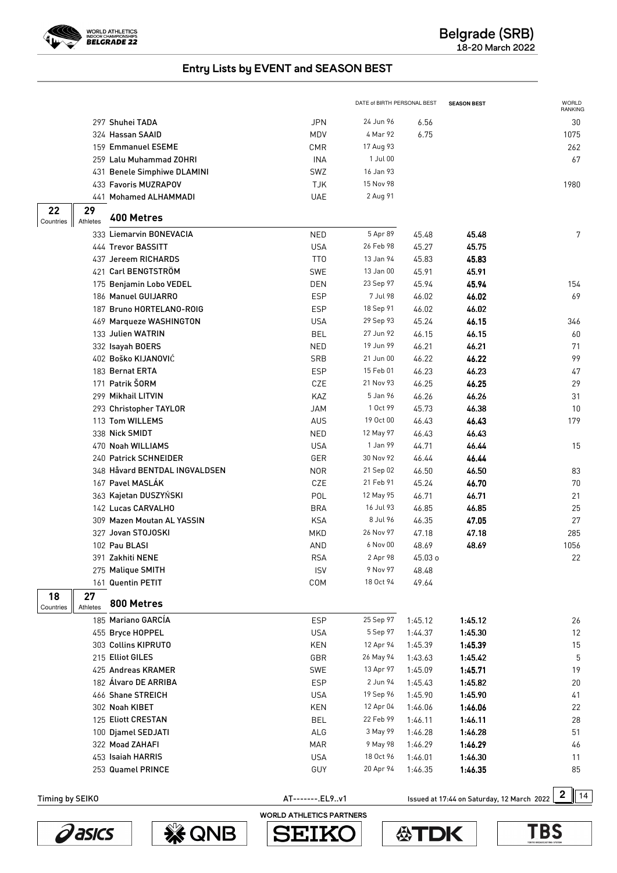

|                       |                               |                 | DATE of BIRTH PERSONAL BEST |         | <b>SEASON BEST</b>                         | <b>WORLD</b><br>RANKING |
|-----------------------|-------------------------------|-----------------|-----------------------------|---------|--------------------------------------------|-------------------------|
|                       | 297 Shuhei TADA               | <b>JPN</b>      | 24 Jun 96                   | 6.56    |                                            | 30                      |
|                       | 324 Hassan SAAID              | MDV             | 4 Mar 92                    | 6.75    |                                            | 1075                    |
|                       | 159 Emmanuel ESEME            | <b>CMR</b>      | 17 Aug 93                   |         |                                            | 262                     |
|                       | 259 Lalu Muhammad ZOHRI       | <b>INA</b>      | 1 Jul 00                    |         |                                            | 67                      |
|                       | 431 Benele Simphiwe DLAMINI   | SWZ             | 16 Jan 93                   |         |                                            |                         |
|                       | 433 Favoris MUZRAPOV          | <b>TJK</b>      | 15 Nov 98                   |         |                                            | 1980                    |
|                       | 441 Mohamed ALHAMMADI         | <b>UAE</b>      | 2 Aug 91                    |         |                                            |                         |
| 29<br>22              |                               |                 |                             |         |                                            |                         |
| Athletes<br>Countries | 400 Metres                    |                 |                             |         |                                            |                         |
|                       | 333 Liemarvin BONEVACIA       | <b>NED</b>      | 5 Apr 89                    | 45.48   | 45.48                                      | 7                       |
|                       | 444 Trevor BASSITT            | <b>USA</b>      | 26 Feb 98                   | 45.27   | 45.75                                      |                         |
|                       | 437 Jereem RICHARDS           | TT <sub>0</sub> | 13 Jan 94                   | 45.83   | 45.83                                      |                         |
|                       | 421 Carl BENGTSTRÖM           | <b>SWE</b>      | 13 Jan 00                   | 45.91   | 45.91                                      |                         |
|                       | 175 Benjamin Lobo VEDEL       | DEN             | 23 Sep 97                   | 45.94   | 45.94                                      | 154                     |
|                       | 186 Manuel GUIJARRO           | <b>ESP</b>      | 7 Jul 98                    | 46.02   | 46.02                                      | 69                      |
|                       | 187 Bruno HORTELANO-ROIG      | <b>ESP</b>      | 18 Sep 91                   | 46.02   | 46.02                                      |                         |
|                       | 469 Marqueze WASHINGTON       | <b>USA</b>      | 29 Sep 93                   | 45.24   | 46.15                                      | 346                     |
|                       | 133 Julien WATRIN             | <b>BEL</b>      | 27 Jun 92                   | 46.15   | 46.15                                      | 60                      |
|                       | 332 Isayah BOERS              | <b>NED</b>      | 19 Jun 99                   | 46.21   | 46.21                                      | 71                      |
|                       | 402 Boško KIJANOVIĆ           | SRB             | 21 Jun 00                   | 46.22   | 46.22                                      | 99                      |
|                       | 183 Bernat ERTA               | <b>ESP</b>      | 15 Feb 01                   | 46.23   | 46.23                                      | 47                      |
|                       | 171 Patrik ŠORM               | CZE             | 21 Nov 93                   | 46.25   | 46.25                                      | 29                      |
|                       | 299 Mikhail LITVIN            | KAZ             | 5 Jan 96                    | 46.26   | 46.26                                      | 31                      |
|                       | 293 Christopher TAYLOR        | <b>JAM</b>      | 1 Oct 99                    | 45.73   | 46.38                                      | 10                      |
|                       | 113 Tom WILLEMS               | AUS             | 19 Oct 00                   | 46.43   | 46.43                                      | 179                     |
|                       | 338 Nick SMIDT                | <b>NED</b>      | 12 May 97                   | 46.43   | 46.43                                      |                         |
|                       | 470 Noah WILLIAMS             | <b>USA</b>      | 1 Jan 99                    | 44.71   | 46.44                                      | 15                      |
|                       | 240 Patrick SCHNEIDER         | GER             | 30 Nov 92                   | 46.44   | 46.44                                      |                         |
|                       | 348 Håvard BENTDAL INGVALDSEN | <b>NOR</b>      | 21 Sep 02                   | 46.50   | 46.50                                      | 83                      |
|                       | 167 Pavel MASLÁK              | CZE             | 21 Feb 91                   | 45.24   | 46.70                                      | 70                      |
|                       | 363 Kajetan DUSZYŃSKI         | POL             | 12 May 95                   | 46.71   | 46.71                                      | 21                      |
|                       | 142 Lucas CARVALHO            | <b>BRA</b>      | 16 Jul 93                   | 46.85   | 46.85                                      | 25                      |
|                       | 309 Mazen Moutan AL YASSIN    | <b>KSA</b>      | 8 Jul 96                    | 46.35   | 47.05                                      | 27                      |
|                       | 327 Jovan STOJOSKI            | <b>MKD</b>      | 26 Nov 97                   | 47.18   | 47.18                                      | 285                     |
|                       | 102 Pau BLASI                 | AND             | 6 Nov 00                    | 48.69   | 48.69                                      | 1056                    |
|                       | 391 Zakhiti NENE              | <b>RSA</b>      | 2 Apr 98                    | 45.03 о |                                            | 22                      |
|                       | 275 Malique SMITH             | <b>ISV</b>      | 9 Nov 97                    | 48.48   |                                            |                         |
|                       | 161 Quentin PETIT             | COM             | 18 Oct 94                   | 49.64   |                                            |                         |
| 27<br>18<br>Athletes  | 800 Metres                    |                 |                             |         |                                            |                         |
| Countries             | 185 Mariano GARCÍA            | <b>ESP</b>      | 25 Sep 97                   | 1:45.12 | 1:45.12                                    | 26                      |
|                       | 455 Bryce HOPPEL              | <b>USA</b>      | 5 Sep 97                    | 1:44.37 | 1:45.30                                    | 12                      |
|                       | 303 Collins KIPRUTO           | KEN             | 12 Apr 94                   | 1:45.39 | 1:45.39                                    | 15                      |
|                       | 215 Elliot GILES              | GBR             | 26 May 94                   | 1:43.63 | 1:45.42                                    | 5                       |
|                       | 425 Andreas KRAMER            | <b>SWE</b>      | 13 Apr 97                   | 1:45.09 | 1:45.71                                    | 19                      |
|                       | 182 Álvaro DE ARRIBA          | <b>ESP</b>      | 2 Jun 94                    | 1:45.43 | 1:45.82                                    | 20                      |
|                       | 466 Shane STREICH             | <b>USA</b>      | 19 Sep 96                   | 1:45.90 | 1:45.90                                    | 41                      |
|                       | 302 Noah KIBET                | KEN             | 12 Apr 04                   | 1:46.06 | 1:46.06                                    | 22                      |
|                       | 125 Eliott CRESTAN            | <b>BEL</b>      | 22 Feb 99                   | 1:46.11 | 1:46.11                                    | 28                      |
|                       | 100 Djamel SEDJATI            | ALG             | 3 May 99                    | 1:46.28 | 1:46.28                                    | 51                      |
|                       | 322 Moad ZAHAFI               | <b>MAR</b>      | 9 May 98                    | 1:46.29 | 1:46.29                                    | 46                      |
|                       | 453 Isaiah HARRIS             | <b>USA</b>      | 18 Oct 96                   | 1:46.01 | 1:46.30                                    | 11                      |
|                       | 253 Quamel PRINCE             | GUY             | 20 Apr 94                   | 1:46.35 | 1:46.35                                    | 85                      |
|                       |                               |                 |                             |         |                                            |                         |
| Timing by SEIKO       |                               | AT-------.EL9v1 |                             |         | Issued at 17:44 on Saturday, 12 March 2022 | 2<br>14                 |





WORLD ATHLETICS PARTNERS

**SEIK** 

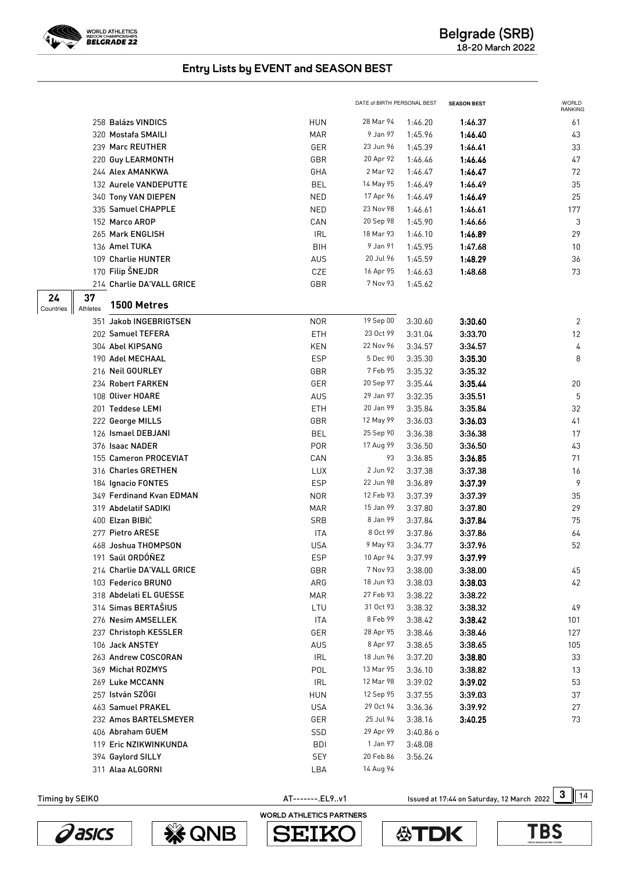

|                       |                           |            | DATE of BIRTH PERSONAL BEST |           | <b>SEASON BEST</b> | WORLD<br>RANKING |
|-----------------------|---------------------------|------------|-----------------------------|-----------|--------------------|------------------|
|                       | 258 Balázs VINDICS        | <b>HUN</b> | 28 Mar 94                   | 1:46.20   | 1:46.37            | 61               |
|                       | 320 Mostafa SMAILI        | <b>MAR</b> | 9 Jan 97                    | 1:45.96   | 1:46.40            | 43               |
|                       | 239 Marc REUTHER          | GER        | 23 Jun 96                   | 1:45.39   | 1:46.41            | 33               |
|                       | 220 Guy LEARMONTH         | GBR        | 20 Apr 92                   | 1:46.46   | 1:46.46            | 47               |
|                       | 244 Alex AMANKWA          | GHA        | 2 Mar 92                    | 1:46.47   | 1:46.47            | 72               |
|                       | 132 Aurele VANDEPUTTE     | <b>BEL</b> | 14 May 95                   | 1:46.49   | 1:46.49            | 35               |
|                       | 340 Tony VAN DIEPEN       | <b>NED</b> | 17 Apr 96                   | 1:46.49   | 1:46.49            | 25               |
|                       | 335 Samuel CHAPPLE        | <b>NED</b> | 23 Nov 98                   | 1:46.61   | 1:46.61            | 177              |
|                       | 152 Marco AROP            | CAN        | 20 Sep 98                   | 1:45.90   | 1:46.66            | 3                |
|                       | 265 Mark ENGLISH          | <b>IRL</b> | 18 Mar 93                   | 1:46.10   | 1:46.89            | 29               |
|                       | 136 Amel TUKA             | BIH        | 9 Jan 91                    | 1:45.95   | 1:47.68            | 10               |
|                       | 109 Charlie HUNTER        | <b>AUS</b> | 20 Jul 96                   | 1:45.59   | 1:48.29            | 36               |
|                       | 170 Filip ŠNEJDR          | CZE        | 16 Apr 95                   | 1:46.63   | 1:48.68            | 73               |
|                       | 214 Charlie DA'VALL GRICE | GBR        | 7 Nov 93                    | 1:45.62   |                    |                  |
| 37<br>24              | 1500 Metres               |            |                             |           |                    |                  |
| Athletes<br>Countries |                           |            |                             |           |                    |                  |
|                       | 351 Jakob INGEBRIGTSEN    | <b>NOR</b> | 19 Sep 00                   | 3:30.60   | 3:30.60            | 2                |
|                       | 202 Samuel TEFERA         | ETH        | 23 Oct 99                   | 3:31.04   | 3:33.70            | 12               |
|                       | 304 Abel KIPSANG          | <b>KEN</b> | 22 Nov 96                   | 3:34.57   | 3:34.57            | 4                |
|                       | 190 Adel MECHAAL          | <b>ESP</b> | 5 Dec 90                    | 3:35.30   | 3:35.30            | 8                |
|                       | 216 Neil GOURLEY          | GBR        | 7 Feb 95                    | 3:35.32   | 3:35.32            |                  |
|                       | 234 Robert FARKEN         | GER        | 20 Sep 97                   | 3:35.44   | 3:35.44            | 20               |
|                       | 108 Oliver HOARE          | <b>AUS</b> | 29 Jan 97                   | 3:32.35   | 3:35.51            | 5                |
|                       | 201 Teddese LEMI          | ETH        | 20 Jan 99                   | 3:35.84   | 3:35.84            | 32               |
|                       | 222 George MILLS          | GBR        | 12 May 99                   | 3:36.03   | 3:36.03            | 41               |
|                       | 126 Ismael DEBJANI        | <b>BEL</b> | 25 Sep 90                   | 3:36.38   | 3:36.38            | 17               |
|                       | 376 Isaac NADER           | <b>POR</b> | 17 Aug 99                   | 3:36.50   | 3:36.50            | 43               |
|                       | 155 Cameron PROCEVIAT     | CAN        | 93                          | 3:36.85   | 3:36.85            | 71               |
|                       | 316 Charles GRETHEN       | <b>LUX</b> | 2 Jun 92                    | 3:37.38   | 3:37.38            | 16               |
|                       | 184 Ignacio FONTES        | <b>ESP</b> | 22 Jun 98                   | 3:36.89   | 3:37.39            | 9                |
|                       | 349 Ferdinand Kvan EDMAN  | <b>NOR</b> | 12 Feb 93                   | 3:37.39   | 3:37.39            | 35               |
|                       | 319 Abdelatif SADIKI      | <b>MAR</b> | 15 Jan 99                   | 3:37.80   | 3:37.80            | 29               |
|                       | 400 Elzan BIBIĆ           | <b>SRB</b> | 8 Jan 99                    | 3:37.84   | 3:37.84            | 75               |
|                       | 277 Pietro ARESE          | <b>ITA</b> | 8 Oct 99                    | 3:37.86   | 3:37.86            | 64               |
|                       | 468 Joshua THOMPSON       | USA        | 9 May 93                    | 3:34.77   | 3:37.96            | 52               |
|                       | 191 Saúl ORDÓÑEZ          | <b>ESP</b> | 10 Apr 94                   | 3:37.99   | 3:37.99            |                  |
|                       | 214 Charlie DA'VALL GRICE | GBR        | 7 Nov 93                    | 3:38.00   | 3:38.00            | 45               |
|                       | 103 Federico BRUNO        | ARG        | 18 Jun 93                   | 3:38.03   | 3:38.03            | 42               |
|                       | 318 Abdelati EL GUESSE    | <b>MAR</b> | 27 Feb 93                   | 3:38.22   | 3:38.22            |                  |
|                       | 314 Simas BERTAŠIUS       | LTU        | 31 Oct 93                   | 3:38.32   | 3:38.32            | 49               |
|                       | 276 Nesim AMSELLEK        | ITA        | 8 Feb 99                    | 3:38.42   | 3:38.42            | 101              |
|                       | 237 Christoph KESSLER     | GER        | 28 Apr 95                   | 3:38.46   | 3:38.46            | 127              |
|                       | 106 Jack ANSTEY           | <b>AUS</b> | 8 Apr 97                    | 3:38.65   | 3:38.65            | 105              |
|                       | 263 Andrew COSCORAN       | <b>IRL</b> | 18 Jun 96                   | 3:37.20   | 3:38.80            | 33               |
|                       | 369 Michał ROZMYS         | POL        | 13 Mar 95                   | 3:36.10   | 3:38.82            | 13               |
|                       | 269 Luke MCCANN           | <b>IRL</b> | 12 Mar 98                   | 3:39.02   | 3:39.02            | 53               |
|                       | 257 István SZÖGI          | <b>HUN</b> | 12 Sep 95                   | 3:37.55   | 3:39.03            | 37               |
|                       | 463 Samuel PRAKEL         | <b>USA</b> | 29 Oct 94                   | 3:36.36   | 3:39.92            | $27\,$           |
|                       | 232 Amos BARTELSMEYER     | GER        | 25 Jul 94                   | 3:38.16   | 3:40.25            | 73               |
|                       | 406 Abraham GUEM          | SSD        | 29 Apr 99                   | 3:40.86 o |                    |                  |
|                       | 119 Eric NZIKWINKUNDA     | <b>BDI</b> | 1 Jan 97                    | 3:48.08   |                    |                  |
|                       | 394 Gaylord SILLY         | <b>SEY</b> | 20 Feb 86                   | 3:56.24   |                    |                  |
|                       | 311 Alaa ALGORNI          | LBA        | 14 Aug 94                   |           |                    |                  |

AT--------.EL9..v1 **3** Issued at 17:44 on Saturday, 12 March 2022 3 14



**WE QNB** 

WORLD ATHLETICS PARTNERS**SEIK** S

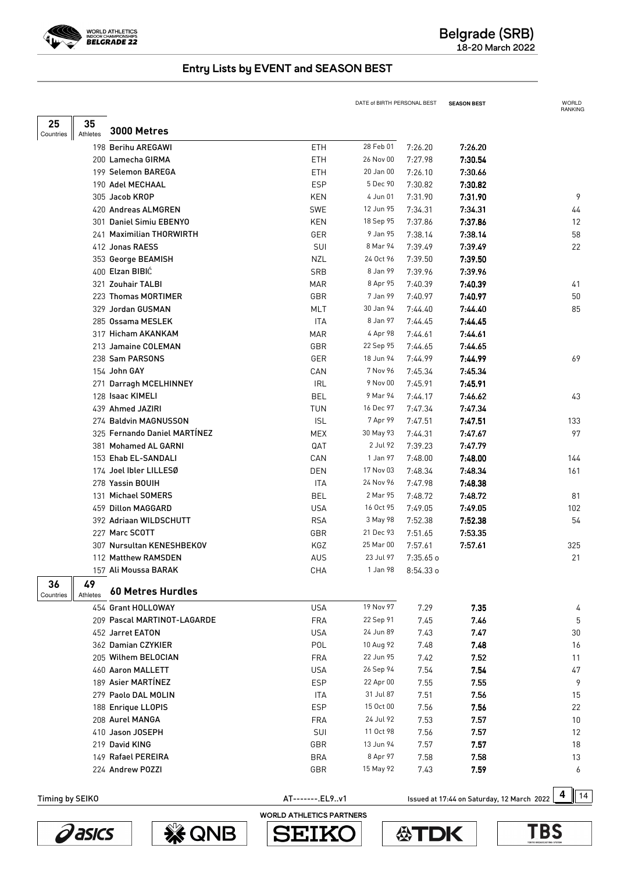

|                 |                |                              |                 | DATE of BIRTH PERSONAL BEST |           | <b>SEASON BEST</b>                         | WORLD<br>RANKING |     |
|-----------------|----------------|------------------------------|-----------------|-----------------------------|-----------|--------------------------------------------|------------------|-----|
| 25              | 35             |                              |                 |                             |           |                                            |                  |     |
| Countries       | Athletes       | 3000 Metres                  |                 |                             |           |                                            |                  |     |
|                 |                | 198 Berihu AREGAWI           | ETH             | 28 Feb 01                   | 7:26.20   | 7:26.20                                    |                  |     |
|                 |                | 200 Lamecha GIRMA            | ETH             | 26 Nov 00                   | 7:27.98   | 7:30.54                                    |                  |     |
|                 |                | 199 Selemon BAREGA           | ETH             | 20 Jan 00                   | 7:26.10   | 7:30.66                                    |                  |     |
|                 |                | 190 Adel MECHAAL             | <b>ESP</b>      | 5 Dec 90                    | 7:30.82   | 7:30.82                                    |                  |     |
|                 |                | 305 Jacob KROP               | <b>KEN</b>      | 4 Jun 01                    | 7:31.90   | 7:31.90                                    |                  | 9   |
|                 |                | 420 Andreas ALMGREN          | <b>SWE</b>      | 12 Jun 95                   | 7:34.31   | 7:34.31                                    |                  | 44  |
|                 |                | 301 Daniel Simiu EBENYO      | <b>KEN</b>      | 18 Sep 95                   | 7:37.86   | 7:37.86                                    |                  | 12  |
|                 |                | 241 Maximilian THORWIRTH     | GER             | 9 Jan 95                    | 7:38.14   | 7:38.14                                    |                  | 58  |
|                 |                | 412 Jonas RAESS              | SUI             | 8 Mar 94                    | 7:39.49   | 7:39.49                                    |                  | 22  |
|                 |                | 353 George BEAMISH           | <b>NZL</b>      | 24 Oct 96                   | 7:39.50   | 7:39.50                                    |                  |     |
|                 |                | 400 Elzan BIBIC              | SRB             | 8 Jan 99                    | 7:39.96   | 7:39.96                                    |                  |     |
|                 |                | 321 Zouhair TALBI            | <b>MAR</b>      | 8 Apr 95                    | 7:40.39   | 7:40.39                                    |                  | 41  |
|                 |                | 223 Thomas MORTIMER          | GBR             | 7 Jan 99                    | 7:40.97   | 7:40.97                                    |                  | 50  |
|                 |                | 329 Jordan GUSMAN            | <b>MLT</b>      | 30 Jan 94                   | 7:44.40   | 7:44.40                                    |                  | 85  |
|                 |                | 285 Ossama MESLEK            | <b>ITA</b>      | 8 Jan 97                    | 7:44.45   | 7:44.45                                    |                  |     |
|                 |                | 317 Hicham AKANKAM           | <b>MAR</b>      | 4 Apr 98                    | 7:44.61   | 7:44.61                                    |                  |     |
|                 |                | 213 Jamaine COLEMAN          | GBR             | 22 Sep 95                   | 7:44.65   | 7:44.65                                    |                  |     |
|                 |                | 238 Sam PARSONS              | GER             | 18 Jun 94                   | 7:44.99   | 7:44.99                                    |                  | 69  |
|                 |                | 154 John GAY                 | CAN             | 7 Nov 96                    | 7:45.34   | 7:45.34                                    |                  |     |
|                 |                | 271 Darragh MCELHINNEY       | <b>IRL</b>      | 9 Nov 00                    | 7:45.91   | 7:45.91                                    |                  |     |
|                 |                | 128 Isaac KIMELI             | <b>BEL</b>      | 9 Mar 94                    | 7:44.17   | 7:46.62                                    |                  | 43  |
|                 |                | 439 Ahmed JAZIRI             | TUN             | 16 Dec 97                   | 7:47.34   | 7:47.34                                    |                  |     |
|                 |                | 274 Baldvin MAGNUSSON        | <b>ISL</b>      | 7 Apr 99                    | 7:47.51   | 7:47.51                                    |                  | 133 |
|                 |                | 325 Fernando Daniel MARTÍNEZ | MEX             | 30 May 93                   | 7:44.31   | 7:47.67                                    |                  | 97  |
|                 |                | 381 Mohamed AL GARNI         | QAT             | 2 Jul 92                    | 7:39.23   | 7:47.79                                    |                  |     |
|                 |                | 153 Ehab EL-SANDALI          | CAN             | 1 Jan 97                    | 7:48.00   | 7:48.00                                    |                  | 144 |
|                 |                | 174 Joel Ibler LILLESØ       | DEN             | 17 Nov 03                   | 7:48.34   | 7:48.34                                    |                  | 161 |
|                 |                | 278 Yassin BOUIH             | ITA             | 24 Nov 96                   | 7:47.98   | 7:48.38                                    |                  |     |
|                 |                | 131 Michael SOMERS           | <b>BEL</b>      | 2 Mar 95                    | 7:48.72   | 7:48.72                                    |                  | 81  |
|                 |                | 459 Dillon MAGGARD           | <b>USA</b>      | 16 Oct 95                   | 7:49.05   | 7:49.05                                    |                  | 102 |
|                 |                | 392 Adriaan WILDSCHUTT       | <b>RSA</b>      | 3 May 98                    | 7:52.38   | 7:52.38                                    |                  | 54  |
|                 |                | 227 Marc SCOTT               | GBR             | 21 Dec 93                   | 7:51.65   | 7:53.35                                    |                  |     |
|                 |                | 307 Nursultan KENESHBEKOV    | KGZ             | 25 Mar 00                   | 7:57.61   | 7:57.61                                    |                  | 325 |
|                 |                | 112 Matthew RAMSDEN          | AUS             | 23 Jul 97                   | 7:35.65 o |                                            |                  | 21  |
|                 |                | 157 Ali Moussa BARAK         | CHA             | 1 Jan 98                    | 8:54.33 o |                                            |                  |     |
| 36<br>Countries | 49<br>Athletes | <b>60 Metres Hurdles</b>     |                 |                             |           |                                            |                  |     |
|                 |                | 454 Grant HOLLOWAY           | <b>USA</b>      | 19 Nov 97                   | 7.29      | 7.35                                       |                  | 4   |
|                 |                | 209 Pascal MARTINOT-LAGARDE  | <b>FRA</b>      | 22 Sep 91                   | 7.45      | 7.46                                       |                  | 5   |
|                 |                | 452 Jarret EATON             | <b>USA</b>      | 24 Jun 89                   | 7.43      | 7.47                                       |                  | 30  |
|                 |                | 362 Damian CZYKIER           | POL             | 10 Aug 92                   | 7.48      | 7.48                                       |                  | 16  |
|                 |                | 205 Wilhem BELOCIAN          | <b>FRA</b>      | 22 Jun 95                   | 7.42      | 7.52                                       |                  | 11  |
|                 |                | 460 Aaron MALLETT            | <b>USA</b>      | 26 Sep 94                   | 7.54      | 7.54                                       |                  | 47  |
|                 |                | 189 Asier MARTÍNEZ           | <b>ESP</b>      | 22 Apr 00                   | 7.55      | 7.55                                       |                  | 9   |
|                 |                | 279 Paolo DAL MOLIN          | ITA             | 31 Jul 87                   | 7.51      | 7.56                                       |                  | 15  |
|                 |                | 188 Enrique LLOPIS           | <b>ESP</b>      | 15 Oct 00                   | 7.56      | 7.56                                       |                  | 22  |
|                 |                | 208 Aurel MANGA              | <b>FRA</b>      | 24 Jul 92                   | 7.53      | 7.57                                       |                  | 10  |
|                 |                | 410 Jason JOSEPH             | SUI             | 11 Oct 98                   | 7.56      | 7.57                                       |                  | 12  |
|                 |                | 219 David KING               | GBR             | 13 Jun 94                   | 7.57      | 7.57                                       |                  | 18  |
|                 |                | 149 Rafael PEREIRA           | <b>BRA</b>      | 8 Apr 97                    | 7.58      | 7.58                                       |                  | 13  |
|                 |                | 224 Andrew POZZI             | GBR             | 15 May 92                   | 7.43      | 7.59                                       |                  | 6   |
|                 |                |                              |                 |                             |           |                                            |                  |     |
| Timing by SEIKO |                |                              | AT-------.EL9v1 |                             |           | Issued at 17:44 on Saturday, 12 March 2022 | 4                | 14  |



**WE QNB** 

WORLD ATHLETICS PARTNERS

**SEIK** 

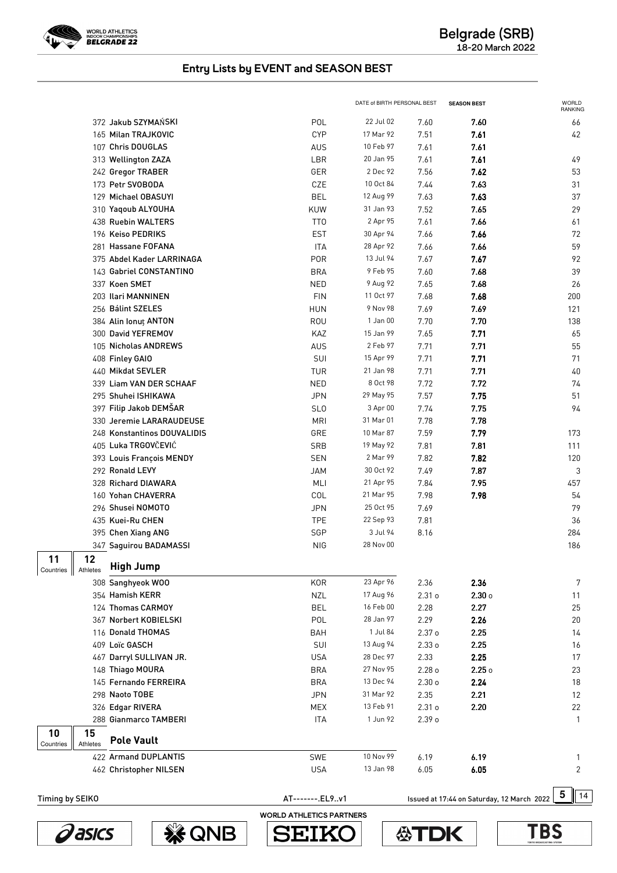

|                 |                |                             |                 | DATE of BIRTH PERSONAL BEST |                   | <b>SEASON BEST</b>                         | WORLD<br><b>RANKING</b> |
|-----------------|----------------|-----------------------------|-----------------|-----------------------------|-------------------|--------------------------------------------|-------------------------|
|                 |                | 372 Jakub SZYMAŃSKI         | POL             | 22 Jul 02                   | 7.60              | 7.60                                       | 66                      |
|                 |                | 165 Milan TRAJKOVIC         | <b>CYP</b>      | 17 Mar 92                   | 7.51              | 7.61                                       | 42                      |
|                 |                | 107 Chris DOUGLAS           | AUS             | 10 Feb 97                   | 7.61              | 7.61                                       |                         |
|                 |                | 313 Wellington ZAZA         | LBR             | 20 Jan 95                   | 7.61              | 7.61                                       | 49                      |
|                 |                | 242 Gregor TRABER           | GER             | 2 Dec 92                    | 7.56              | 7.62                                       | 53                      |
|                 |                | 173 Petr SVOBODA            | CZE             | 10 Oct 84                   | 7.44              | 7.63                                       | 31                      |
|                 |                | 129 Michael OBASUYI         | <b>BEL</b>      | 12 Aug 99                   | 7.63              | 7.63                                       | 37                      |
|                 |                | 310 Yaqoub ALYOUHA          | KUW             | 31 Jan 93                   | 7.52              | 7.65                                       | 29                      |
|                 |                | 438 Ruebin WALTERS          | TT <sub>0</sub> | 2 Apr 95                    | 7.61              | 7.66                                       | 61                      |
|                 |                | 196 Keiso PEDRIKS           | <b>EST</b>      | 30 Apr 94                   | 7.66              | 7.66                                       | 72                      |
|                 |                | 281 Hassane FOFANA          | <b>ITA</b>      | 28 Apr 92                   | 7.66              | 7.66                                       | 59                      |
|                 |                | 375 Abdel Kader LARRINAGA   | <b>POR</b>      | 13 Jul 94                   | 7.67              | 7.67                                       | 92                      |
|                 |                | 143 Gabriel CONSTANTINO     | <b>BRA</b>      | 9 Feb 95                    | 7.60              | 7.68                                       | 39                      |
|                 |                | 337 Koen SMET               | <b>NED</b>      | 9 Aug 92                    | 7.65              | 7.68                                       | 26                      |
|                 |                | 203 Ilari MANNINEN          | <b>FIN</b>      | 11 Oct 97                   | 7.68              | 7.68                                       | 200                     |
|                 |                | 256 Bálint SZELES           | <b>HUN</b>      | 9 Nov 98                    | 7.69              | 7.69                                       | 121                     |
|                 |                | 384 Alin Ionut ANTON        | ROU             | 1 Jan 00                    | 7.70              | 7.70                                       | 138                     |
|                 |                | 300 David YEFREMOV          | KAZ             | 15 Jan 99                   | 7.65              | 7.71                                       | 65                      |
|                 |                | 105 Nicholas ANDREWS        | AUS             | 2 Feb 97                    | 7.71              | 7.71                                       | 55                      |
|                 |                | 408 Finley GAIO             | SUI             | 15 Apr 99                   | 7.71              | 7.71                                       | 71                      |
|                 |                | 440 Mikdat SEVLER           | <b>TUR</b>      | 21 Jan 98                   | 7.71              | 7.71                                       | 40                      |
|                 |                | 339 Liam VAN DER SCHAAF     | <b>NED</b>      | 8 Oct 98                    | 7.72              | 7.72                                       | 74                      |
|                 |                | 295 Shuhei ISHIKAWA         | <b>JPN</b>      | 29 May 95                   | 7.57              | 7.75                                       | 51                      |
|                 |                | 397 Filip Jakob DEMŠAR      | SL <sub>0</sub> | 3 Apr 00                    | 7.74              | 7.75                                       | 94                      |
|                 |                | 330 Jeremie LARARAUDEUSE    | <b>MRI</b>      | 31 Mar 01                   | 7.78              | 7.78                                       |                         |
|                 |                | 248 Konstantinos DOUVALIDIS | GRE             | 10 Mar 87                   | 7.59              | 7.79                                       | 173                     |
|                 |                | 405 Luka TRGOVČEVIĆ         | SRB             | 19 May 92                   | 7.81              | 7.81                                       | 111                     |
|                 |                | 393 Louis François MENDY    | <b>SEN</b>      | 2 Mar 99                    | 7.82              | 7.82                                       | 120                     |
|                 |                | 292 Ronald LEVY             | <b>JAM</b>      | 30 Oct 92                   | 7.49              | 7.87                                       | 3                       |
|                 |                | 328 Richard DIAWARA         | MLI             | 21 Apr 95                   | 7.84              | 7.95                                       | 457                     |
|                 |                | 160 Yohan CHAVERRA          | COL             | 21 Mar 95                   | 7.98              | 7.98                                       | 54                      |
|                 |                | 296 Shusei NOMOTO           | <b>JPN</b>      | 25 Oct 95                   | 7.69              |                                            | 79                      |
|                 |                | 435 Kuei-Ru CHEN            | <b>TPE</b>      | 22 Sep 93                   | 7.81              |                                            | 36                      |
|                 |                | 395 Chen Xiang ANG          | SGP             | 3 Jul 94                    | 8.16              |                                            | 284                     |
|                 |                | 347 Saguirou BADAMASSI      | <b>NIG</b>      | 28 Nov 00                   |                   |                                            | 186                     |
| 11              | 12             |                             |                 |                             |                   |                                            |                         |
| Countries       | Athletes       | <b>High Jump</b>            |                 |                             |                   |                                            |                         |
|                 |                | 308 Sanghyeok WOO           | <b>KOR</b>      | 23 Apr 96                   | 2.36              | 2.36                                       | 7                       |
|                 |                | 354 Hamish KERR             | <b>NZL</b>      | 17 Aug 96                   | 2.31o             | $2.30 \circ$                               | 11                      |
|                 |                | 124 Thomas CARMOY           | <b>BEL</b>      | 16 Feb 00                   | 2.28              | 2.27                                       | 25                      |
|                 |                | 367 Norbert KOBIELSKI       | POL             | 28 Jan 97                   | 2.29              | 2.26                                       | 20                      |
|                 |                | 116 Donald THOMAS           | <b>BAH</b>      | 1 Jul 84                    | 2.37 <sub>o</sub> | 2.25                                       | 14                      |
|                 |                | 409 Loïc GASCH              | SUI             | 13 Aug 94                   | 2.33 <sub>o</sub> | 2.25                                       | 16                      |
|                 |                | 467 Darryl SULLIVAN JR.     | <b>USA</b>      | 28 Dec 97                   | 2.33              | 2.25                                       | 17                      |
|                 |                | 148 Thiago MOURA            | <b>BRA</b>      | 27 Nov 95                   | 2.28 <sub>o</sub> | 2.25                                       | 23                      |
|                 |                | 145 Fernando FERREIRA       | <b>BRA</b>      | 13 Dec 94                   | 2.30 <sub>o</sub> | 2.24                                       | 18                      |
|                 |                | 298 Naoto TOBE              | <b>JPN</b>      | 31 Mar 92                   | 2.35              | 2.21                                       | 12                      |
|                 |                | 326 Edgar RIVERA            | <b>MEX</b>      | 13 Feb 91                   | 2.31o             | 2.20                                       | 22                      |
|                 |                | 288 Gianmarco TAMBERI       | <b>ITA</b>      | 1 Jun 92                    | 2.39 <sub>o</sub> |                                            | $\mathbf{1}$            |
| 10<br>Countries | 15<br>Athletes | <b>Pole Vault</b>           |                 |                             |                   |                                            |                         |
|                 |                | 422 Armand DUPLANTIS        | SWE             | 10 Nov 99                   | 6.19              | 6.19                                       | 1                       |
|                 |                | 462 Christopher NILSEN      | <b>USA</b>      | 13 Jan 98                   | 6.05              | 6.05                                       | $\overline{2}$          |
|                 |                |                             |                 |                             |                   |                                            |                         |
| Timing by SEIKO |                |                             | AT-------.EL9v1 |                             |                   | Issued at 17:44 on Saturday, 12 March 2022 | 5<br>14                 |







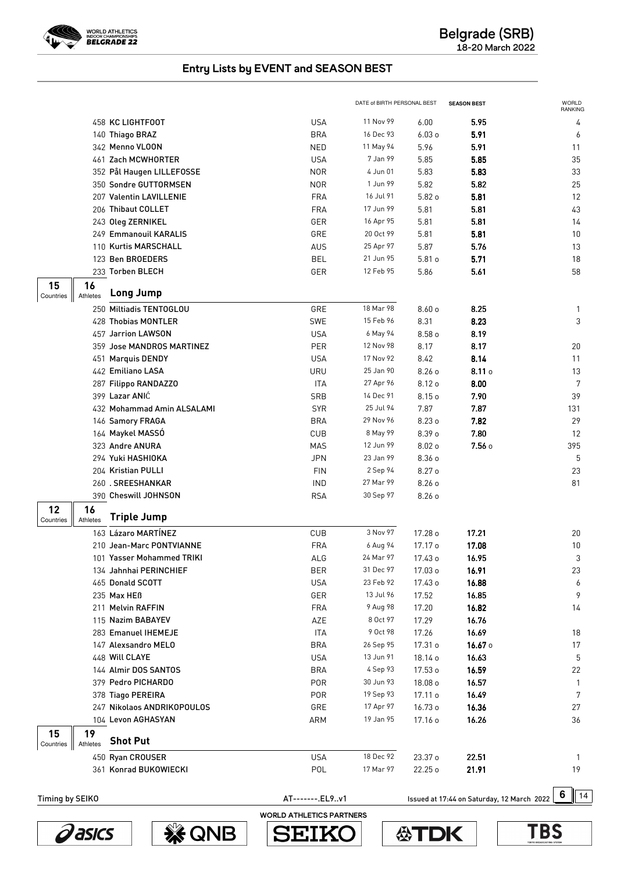

|                                           |                 | DATE of BIRTH PERSONAL BEST |                   | <b>SEASON BEST</b>                         | <b>WORLD</b><br><b>RANKING</b> |
|-------------------------------------------|-----------------|-----------------------------|-------------------|--------------------------------------------|--------------------------------|
| 458 KC LIGHTFOOT                          | <b>USA</b>      | 11 Nov 99                   | 6.00              | 5.95                                       | 4                              |
| 140 Thiago BRAZ                           | <b>BRA</b>      | 16 Dec 93                   | 6.03 <sub>o</sub> | 5.91                                       | 6                              |
| 342 Menno VLOON                           | <b>NED</b>      | 11 May 94                   | 5.96              | 5.91                                       | 11                             |
| 461 Zach MCWHORTER                        | <b>USA</b>      | 7 Jan 99                    | 5.85              | 5.85                                       | 35                             |
| 352 Pål Haugen LILLEFOSSE                 | <b>NOR</b>      | 4 Jun 01                    | 5.83              | 5.83                                       | 33                             |
| 350 Sondre GUTTORMSEN                     | <b>NOR</b>      | 1 Jun 99                    | 5.82              | 5.82                                       | 25                             |
| 207 Valentin LAVILLENIE                   | <b>FRA</b>      | 16 Jul 91                   | 5.82o             | 5.81                                       | 12                             |
| 206 Thibaut COLLET                        | <b>FRA</b>      | 17 Jun 99                   | 5.81              | 5.81                                       | 43                             |
| 243 Oleg ZERNIKEL                         | GER             | 16 Apr 95                   | 5.81              | 5.81                                       | 14                             |
| 249 Emmanouil KARALIS                     | GRE             | 20 Oct 99                   | 5.81              | 5.81                                       | 10                             |
| 110 Kurtis MARSCHALL                      | AUS             | 25 Apr 97                   | 5.87              | 5.76                                       | 13                             |
| 123 Ben BROEDERS                          | <b>BEL</b>      | 21 Jun 95                   | 5.81 <sub>o</sub> | 5.71                                       | 18                             |
| 233 Torben BLECH                          | GER             | 12 Feb 95                   | 5.86              | 5.61                                       | 58                             |
| 15<br>16                                  |                 |                             |                   |                                            |                                |
| <b>Long Jump</b><br>Athletes<br>Countries |                 |                             |                   |                                            |                                |
| 250 Miltiadis TENTOGLOU                   | GRE             | 18 Mar 98                   | 8.60o             | 8.25                                       | $\mathbf{1}$                   |
| 428 Thobias MONTLER                       | <b>SWE</b>      | 15 Feb 96                   | 8.31              | 8.23                                       | 3                              |
| 457 Jarrion LAWSON                        | <b>USA</b>      | 6 May 94                    | 8.58 o            | 8.19                                       |                                |
| 359 Jose MANDROS MARTINEZ                 | PER             | 12 Nov 98                   | 8.17              | 8.17                                       | 20                             |
| 451 Marquis DENDY                         | <b>USA</b>      | 17 Nov 92                   | 8.42              | 8.14                                       | 11                             |
| 442 Emiliano LASA                         | URU             | 25 Jan 90                   | 8.26 <sub>o</sub> | $8.11$ o                                   | 13                             |
| 287 Filippo RANDAZZO                      | ITA             | 27 Apr 96                   | 8.12 o            | 8.00                                       | 7                              |
| 399 Lazar ANIĆ                            | SRB             | 14 Dec 91                   | 8.15 o            | 7.90                                       | 39                             |
| 432 Mohammad Amin ALSALAMI                | <b>SYR</b>      | 25 Jul 94                   | 7.87              | 7.87                                       | 131                            |
| 146 Samory FRAGA                          | <b>BRA</b>      | 29 Nov 96                   | 8.23 o            | 7.82                                       | 29                             |
| 164 Maykel MASSO                          | <b>CUB</b>      | 8 May 99                    | 8.39 o            | 7.80                                       | 12                             |
| 323 Andre ANURA                           | MAS             | 12 Jun 99                   | 8.02 <sub>o</sub> | 7.56o                                      | 395                            |
| 294 Yuki HASHIOKA                         | <b>JPN</b>      | 23 Jan 99                   | 8.36 o            |                                            | 5                              |
| 204 Kristian PULLI                        | <b>FIN</b>      | 2 Sep 94                    | 8.27 o            |                                            | 23                             |
| 260.SREESHANKAR                           | <b>IND</b>      | 27 Mar 99                   | 8.26 <sub>o</sub> |                                            | 81                             |
| 390 Cheswill JOHNSON                      | <b>RSA</b>      | 30 Sep 97                   | 8.26 <sub>o</sub> |                                            |                                |
| 12<br>16<br><b>Triple Jump</b>            |                 |                             |                   |                                            |                                |
| Athletes<br>Countries                     |                 |                             |                   |                                            |                                |
| 163 Lázaro MARTÍNEZ                       | CUB             | 3 Nov 97                    | 17.28 o           | 17.21                                      | 20                             |
| 210 Jean-Marc PONTVIANNE                  | <b>FRA</b>      | 6 Aug 94                    | 17.17 o           | 17.08                                      | 10                             |
| 101 Yasser Mohammed TRIKI                 | ALG             | 24 Mar 97                   | 17.43 o           | 16.95                                      | 3                              |
| 134 Jahnhai PERINCHIEF                    | BER             | 31 Dec 97                   | 17.03 o           | 16.91                                      | 23                             |
| 465 Donald SCOTT                          | <b>USA</b>      | 23 Feb 92                   | 17.43 o           | 16.88                                      | 6                              |
| 235 Max HEB                               | GER             | 13 Jul 96                   | 17.52             | 16.85                                      | 9                              |
| 211 Melvin RAFFIN                         | <b>FRA</b>      | 9 Aug 98                    | 17.20             | 16.82                                      | 14                             |
| 115 Nazim BABAYEV                         | AZE             | 8 Oct 97                    | 17.29             | 16.76                                      |                                |
| 283 Emanuel IHEMEJE                       | ITA             | 9 Oct 98                    | 17.26             | 16.69                                      | 18                             |
| 147 Alexsandro MELO                       | <b>BRA</b>      | 26 Sep 95                   | 17.31 o           | 16.67 <sub>o</sub>                         | 17                             |
| 448 Will CLAYE                            | <b>USA</b>      | 13 Jun 91                   | 18.14 o           | 16.63                                      | 5                              |
| 144 Almir DOS SANTOS                      | <b>BRA</b>      | 4 Sep 93                    | 17.53 o           | 16.59                                      | 22                             |
| 379 Pedro PICHARDO                        | <b>POR</b>      | 30 Jun 93                   | 18.08 o           | 16.57                                      | $\mathbf{1}$                   |
| 378 Tiago PEREIRA                         | <b>POR</b>      | 19 Sep 93                   | 17.11 o           | 16.49                                      | 7                              |
| 247 Nikolaos ANDRIKOPOULOS                | GRE             | 17 Apr 97                   | 16.73 o           | 16.36                                      | 27                             |
| 104 Levon AGHASYAN                        | ARM             | 19 Jan 95                   | 17.16 o           | 16.26                                      | 36                             |
| 15<br>19<br><b>Shot Put</b>               |                 |                             |                   |                                            |                                |
| Athletes<br>Countries                     |                 |                             |                   |                                            |                                |
| 450 Ryan CROUSER                          | <b>USA</b>      | 18 Dec 92                   | 23.37 o           | 22.51                                      | Л.                             |
| 361 Konrad BUKOWIECKI                     | POL             | 17 Mar 97                   | 22.25 o           | 21.91                                      | 19                             |
| Timing by SEIKO                           | AT-------.EL9v1 |                             |                   | Issued at 17:44 on Saturday, 12 March 2022 | 6<br>14                        |





**SEIKO** 

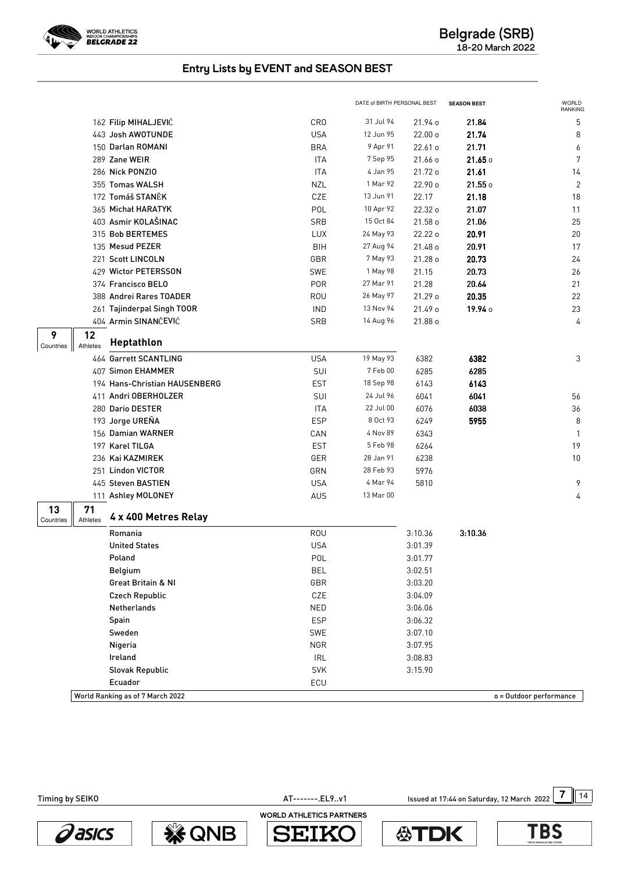

|                 |                |                                  |            | DATE of BIRTH PERSONAL BEST |         | <b>SEASON BEST</b> | WORLD<br>RANKING        |
|-----------------|----------------|----------------------------------|------------|-----------------------------|---------|--------------------|-------------------------|
|                 |                | 162 Filip MIHALJEVIĆ             | <b>CRO</b> | 31 Jul 94                   | 21.94 o | 21.84              | 5                       |
|                 |                | 443 Josh AWOTUNDE                | <b>USA</b> | 12 Jun 95                   | 22.00 o | 21.74              | 8                       |
|                 |                | 150 Darlan ROMANI                | <b>BRA</b> | 9 Apr 91                    | 22.61 o | 21.71              | 6                       |
|                 |                | 289 Zane WEIR                    | <b>ITA</b> | 7 Sep 95                    | 21.66 o | 21.65 o            | 7                       |
|                 |                | 286 Nick PONZIO                  | <b>ITA</b> | 4 Jan 95                    | 21.72 o | 21.61              | 14                      |
|                 |                | 355 Tomas WALSH                  | <b>NZL</b> | 1 Mar 92                    | 22.90 o | 21.55 o            | $\overline{2}$          |
|                 |                | 172 Tomáš STANĚK                 | CZE        | 13 Jun 91                   | 22.17   | 21.18              | 18                      |
|                 |                | 365 Michał HARATYK               | POL        | 10 Apr 92                   | 22.32 o | 21.07              | 11                      |
|                 |                | 403 Asmir KOLAŠINAC              | SRB        | 15 Oct 84                   | 21.58 o | 21.06              | 25                      |
|                 |                | 315 Bob BERTEMES                 | LUX        | 24 May 93                   | 22.22 o | 20.91              | 20                      |
|                 |                | 135 Mesud PEZER                  | BIH        | 27 Aug 94                   | 21.48 o | 20.91              | 17                      |
|                 |                | 221 Scott LINCOLN                | GBR        | 7 May 93                    | 21.28 o | 20.73              | 24                      |
|                 |                | 429 Wictor PETERSSON             | SWE        | 1 May 98                    | 21.15   | 20.73              | 26                      |
|                 |                | 374 Francisco BELO               | <b>POR</b> | 27 Mar 91                   | 21.28   | 20.64              | 21                      |
|                 |                | 388 Andrei Rares TOADER          | <b>ROU</b> | 26 May 97                   | 21.29 o | 20.35              | 22                      |
|                 |                | 261 Tajinderpal Singh TOOR       | <b>IND</b> | 13 Nov 94                   | 21.49 o | 19.94 0            | 23                      |
|                 |                | 404 Armin SINANČEVIĆ             | SRB        | 14 Aug 96                   | 21.88 o |                    | 4                       |
| 9<br>Countries  | 12<br>Athletes | Heptathlon                       |            |                             |         |                    |                         |
|                 |                | 464 Garrett SCANTLING            | <b>USA</b> | 19 May 93                   | 6382    | 6382               | 3                       |
|                 |                | 407 Simon EHAMMER                | SUI        | 7 Feb 00                    | 6285    | 6285               |                         |
|                 |                | 194 Hans-Christian HAUSENBERG    | <b>EST</b> | 18 Sep 98                   | 6143    | 6143               |                         |
|                 |                | 411 Andri OBERHOLZER             | SUI        | 24 Jul 96                   | 6041    | 6041               | 56                      |
|                 |                | 280 Dario DESTER                 | <b>ITA</b> | 22 Jul 00                   | 6076    | 6038               | 36                      |
|                 |                | 193 Jorge UREÑA                  | <b>ESP</b> | 8 Oct 93                    | 6249    | 5955               | 8                       |
|                 |                | 156 Damian WARNER                | CAN        | 4 Nov 89                    | 6343    |                    | $\mathbf{1}$            |
|                 |                | 197 Karel TILGA                  | <b>EST</b> | 5 Feb 98                    | 6264    |                    | 19                      |
|                 |                | 236 Kai KAZMIREK                 | GER        | 28 Jan 91                   | 6238    |                    | 10                      |
|                 |                | 251 Lindon VICTOR                | GRN        | 28 Feb 93                   | 5976    |                    |                         |
|                 |                | 445 Steven BASTIEN               | <b>USA</b> | 4 Mar 94                    | 5810    |                    | 9                       |
|                 |                | 111 Ashley MOLONEY               | AUS        | 13 Mar 00                   |         |                    | 4                       |
| 13<br>Countries | 71<br>Athletes | 4 x 400 Metres Relay             |            |                             |         |                    |                         |
|                 |                | Romania                          | <b>ROU</b> |                             | 3:10.36 | 3:10.36            |                         |
|                 |                | <b>United States</b>             | <b>USA</b> |                             | 3:01.39 |                    |                         |
|                 |                | Poland                           | POL        |                             | 3:01.77 |                    |                         |
|                 |                | Belgium                          | <b>BEL</b> |                             | 3:02.51 |                    |                         |
|                 |                | Great Britain & NI               | GBR        |                             | 3:03.20 |                    |                         |
|                 |                | <b>Czech Republic</b>            | CZE        |                             | 3:04.09 |                    |                         |
|                 |                | Netherlands                      | NED        |                             | 3:06.06 |                    |                         |
|                 |                | Spain                            | <b>ESP</b> |                             | 3:06.32 |                    |                         |
|                 |                | Sweden                           | SWE        |                             | 3:07.10 |                    |                         |
|                 |                | Nigeria                          | <b>NGR</b> |                             | 3:07.95 |                    |                         |
|                 |                | Ireland                          | <b>IRL</b> |                             | 3:08.83 |                    |                         |
|                 |                | Slovak Republic                  | <b>SVK</b> |                             | 3:15.90 |                    |                         |
|                 |                | Ecuador                          | ECU        |                             |         |                    |                         |
|                 |                | World Ranking as of 7 March 2022 |            |                             |         |                    | o = Outdoor performance |

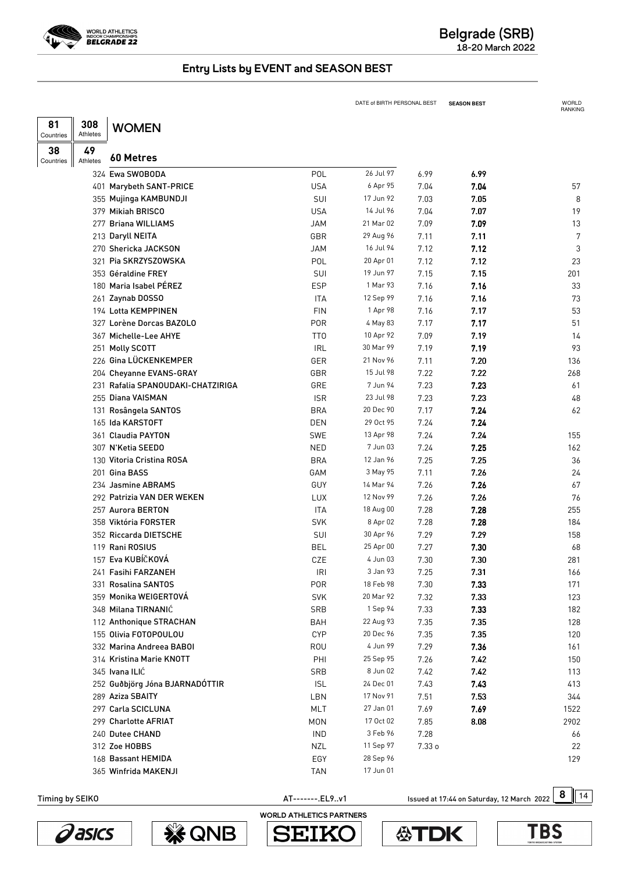

|                 |                |                                   |                 | DATE of BIRTH PERSONAL BEST |        | <b>SEASON BEST</b> | WORLD<br>RANKING |
|-----------------|----------------|-----------------------------------|-----------------|-----------------------------|--------|--------------------|------------------|
| 81              | 308            | <b>WOMEN</b>                      |                 |                             |        |                    |                  |
| Countries       | Athletes       |                                   |                 |                             |        |                    |                  |
| 38<br>Countries | 49<br>Athletes | 60 Metres                         |                 |                             |        |                    |                  |
|                 |                | 324 Ewa SWOBODA                   | POL             | 26 Jul 97                   | 6.99   | 6.99               |                  |
|                 |                | 401 Marybeth SANT-PRICE           | <b>USA</b>      | 6 Apr 95                    | 7.04   | 7.04               | 57               |
|                 |                | 355 Mujinga KAMBUNDJI             | SUI             | 17 Jun 92                   | 7.03   | 7.05               | 8                |
|                 |                | 379 Mikiah BRISCO                 | <b>USA</b>      | 14 Jul 96                   | 7.04   | 7.07               | 19               |
|                 |                | 277 Briana WILLIAMS               | <b>JAM</b>      | 21 Mar 02                   | 7.09   | 7.09               | 13               |
|                 |                | 213 Daryll NEITA                  | GBR             | 29 Aug 96                   | 7.11   | 7.11               | 7                |
|                 |                | 270 Shericka JACKSON              | JAM             | 16 Jul 94                   | 7.12   | 7.12               | 3                |
|                 |                | 321 Pia SKRZYSZOWSKA              | POL             | 20 Apr 01                   | 7.12   | 7.12               | 23               |
|                 |                | 353 Géraldine FREY                | SUI             | 19 Jun 97                   | 7.15   | 7.15               | 201              |
|                 |                | 180 Maria Isabel PÉREZ            | <b>ESP</b>      | 1 Mar 93                    | 7.16   | 7.16               | 33               |
|                 |                | 261 Zaynab DOSSO                  | ITA             | 12 Sep 99                   | 7.16   | 7.16               | 73               |
|                 |                | 194 Lotta KEMPPINEN               | <b>FIN</b>      | 1 Apr 98                    | 7.16   | 7.17               | 53               |
|                 |                | 327 Lorène Dorcas BAZOLO          | <b>POR</b>      | 4 May 83                    | 7.17   | 7.17               | 51               |
|                 |                | 367 Michelle-Lee AHYE             | TT <sub>0</sub> | 10 Apr 92                   | 7.09   | 7.19               | 14               |
|                 |                | 251 Molly SCOTT                   | <b>IRL</b>      | 30 Mar 99                   | 7.19   | 7.19               | 93               |
|                 |                | 226 Gina LÜCKENKEMPER             | GER             | 21 Nov 96                   | 7.11   | 7.20               | 136              |
|                 |                | 204 Cheyanne EVANS-GRAY           | GBR             | 15 Jul 98                   | 7.22   | 7.22               | 268              |
|                 |                | 231 Rafalia SPANOUDAKI-CHATZIRIGA | GRE             | 7 Jun 94                    | 7.23   | 7.23               | 61               |
|                 |                | 255 Diana VAISMAN                 | <b>ISR</b>      | 23 Jul 98                   | 7.23   | 7.23               | 48               |
|                 |                | 131 Rosângela SANTOS              | <b>BRA</b>      | 20 Dec 90                   | 7.17   | 7.24               | 62               |
|                 |                | 165 Ida KARSTOFT                  | <b>DEN</b>      | 29 Oct 95                   | 7.24   | 7.24               |                  |
|                 |                | 361 Claudia PAYTON                | <b>SWE</b>      | 13 Apr 98                   | 7.24   | 7.24               | 155              |
|                 |                | 307 N'Ketia SEEDO                 | <b>NED</b>      | 7 Jun 03                    | 7.24   | 7.25               | 162              |
|                 |                | 130 Vitoria Cristina ROSA         | <b>BRA</b>      | 12 Jan 96                   | 7.25   | 7.25               | 36               |
|                 |                | 201 Gina BASS                     | GAM             | 3 May 95                    | 7.11   | 7.26               | 24               |
|                 |                | 234 Jasmine ABRAMS                | GUY             | 14 Mar 94                   | 7.26   | 7.26               | 67               |
|                 |                | 292 Patrizia VAN DER WEKEN        | <b>LUX</b>      | 12 Nov 99                   | 7.26   | 7.26               | 76               |
|                 |                | 257 Aurora BERTON                 | <b>ITA</b>      | 18 Aug 00                   | 7.28   | 7.28               | 255              |
|                 |                | 358 Viktória FORSTER              | <b>SVK</b>      | 8 Apr 02                    | 7.28   | 7.28               | 184              |
|                 |                | 352 Riccarda DIETSCHE             | SUI             | 30 Apr 96                   | 7.29   | 7.29               | 158              |
|                 |                | 119 Rani ROSIUS                   | <b>BEL</b>      | 25 Apr 00                   | 7.27   | 7.30               | 68               |
|                 |                | 157 Eva KUBÍČKOVÁ                 | CZE             | 4 Jun 03                    | 7.30   | 7.30               | 281              |
|                 |                | 241 Fasihi FARZANEH               | <b>IRI</b>      | 3 Jan 93                    | 7.25   | 7.31               | 166              |
|                 |                | 331 Rosalina SANTOS               | <b>POR</b>      | 18 Feb 98                   | 7.30   | 7.33               | 171              |
|                 |                | 359 Monika WEIGERTOVÁ             | <b>SVK</b>      | 20 Mar 92                   | 7.32   | 7.33               | 123              |
|                 |                | 348 Milana TIRNANIĆ               | <b>SRB</b>      | 1 Sep 94                    | 7.33   | 7.33               | 182              |
|                 |                | 112 Anthonique STRACHAN           | BAH             | 22 Aug 93                   | 7.35   | 7.35               | 128              |
|                 |                | 155 Olivia FOTOPOULOU             | <b>CYP</b>      | 20 Dec 96                   | 7.35   | 7.35               | 120              |
|                 |                | 332 Marina Andreea BABOI          | <b>ROU</b>      | 4 Jun 99                    | 7.29   | 7.36               | 161              |
|                 |                | 314 Kristina Marie KNOTT          | PHI             | 25 Sep 95                   | 7.26   | 7.42               | 150              |
|                 |                | 345 Ivana ILIĆ                    | <b>SRB</b>      | 8 Jun 02                    | 7.42   | 7.42               | 113              |
|                 |                | 252 Guðbjörg Jóna BJARNADÓTTIR    | <b>ISL</b>      | 24 Dec 01                   | 7.43   | 7.43               | 413              |
|                 |                | 289 Aziza SBAITY                  | LBN             | 17 Nov 91                   | 7.51   | 7.53               | 344              |
|                 |                | 297 Carla SCICLUNA                | MLT             | 27 Jan 01                   | 7.69   | 7.69               | 1522             |
|                 |                | 299 Charlotte AFRIAT              | <b>MON</b>      | 17 Oct 02                   | 7.85   | 8.08               | 2902             |
|                 |                | 240 Dutee CHAND                   | <b>IND</b>      | 3 Feb 96                    | 7.28   |                    | 66               |
|                 |                | 312 Zoe HOBBS                     | <b>NZL</b>      | 11 Sep 97                   | 7.33 о |                    | 22               |
|                 |                | 168 Bassant HEMIDA                | EGY             | 28 Sep 96                   |        |                    | 129              |
|                 |                | 365 Winfrida MAKENJI              | <b>TAN</b>      | 17 Jun 01                   |        |                    |                  |
|                 |                |                                   |                 |                             |        |                    |                  |

AT--------.EL9..v1 **8** Issued at 17:44 on Saturday, 12 March 2022 8 14









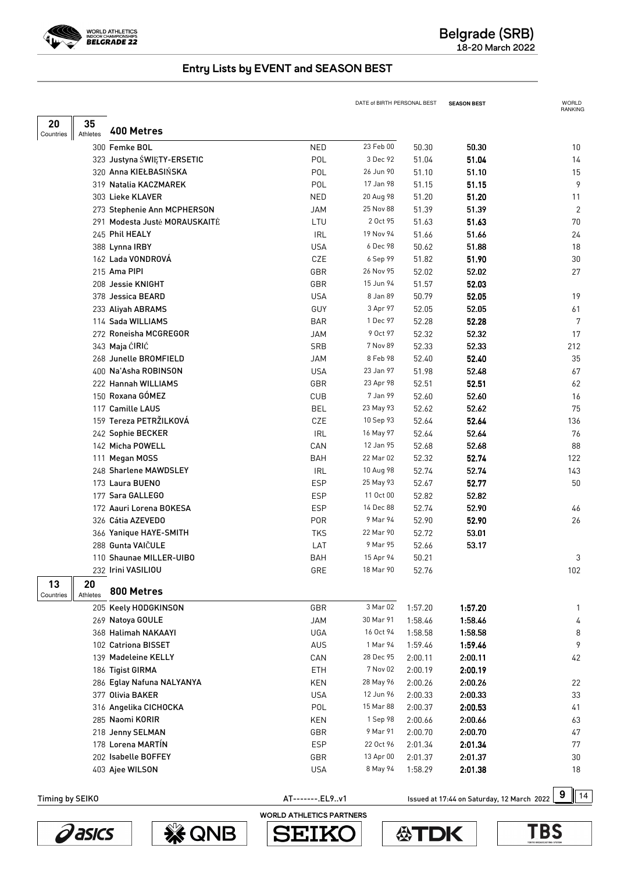

|                  |                |                               |                 | DATE of BIRTH PERSONAL BEST |         | <b>SEASON BEST</b>                         | WORLD<br><b>RANKING</b> |
|------------------|----------------|-------------------------------|-----------------|-----------------------------|---------|--------------------------------------------|-------------------------|
| 20               | 35             |                               |                 |                             |         |                                            |                         |
| <b>Countries</b> | Athletes       | 400 Metres                    |                 |                             |         |                                            |                         |
|                  |                | 300 Femke BOL                 | <b>NED</b>      | 23 Feb 00                   | 50.30   | 50.30                                      | 10                      |
|                  |                | 323 Justyna ŚWIĘTY-ERSETIC    | POL             | 3 Dec 92                    | 51.04   | 51.04                                      | 14                      |
|                  |                | 320 Anna KIEŁBASIŃSKA         | POL             | 26 Jun 90                   | 51.10   | 51.10                                      | 15                      |
|                  |                | 319 Natalia KACZMAREK         | POL             | 17 Jan 98                   | 51.15   | 51.15                                      | 9                       |
|                  |                | 303 Lieke KLAVER              | <b>NED</b>      | 20 Aug 98                   | 51.20   | 51.20                                      | 11                      |
|                  |                | 273 Stephenie Ann MCPHERSON   | <b>JAM</b>      | 25 Nov 88                   | 51.39   | 51.39                                      | $\overline{2}$          |
|                  |                | 291 Modesta Juste MORAUSKAITE | LTU             | 2 Oct 95                    | 51.63   | 51.63                                      | 70                      |
|                  |                | 245 Phil HEALY                | <b>IRL</b>      | 19 Nov 94                   | 51.66   | 51.66                                      | 24                      |
|                  |                | 388 Lynna IRBY                | <b>USA</b>      | 6 Dec 98                    | 50.62   | 51.88                                      | 18                      |
|                  |                | 162 Lada VONDROVA             | CZE             | 6 Sep 99                    | 51.82   | 51.90                                      | 30                      |
|                  |                | 215 Ama PIPI                  | GBR             | 26 Nov 95                   | 52.02   | 52.02                                      | 27                      |
|                  |                | 208 Jessie KNIGHT             | GBR             | 15 Jun 94                   | 51.57   | 52.03                                      |                         |
|                  |                | 378 Jessica BEARD             | <b>USA</b>      | 8 Jan 89                    | 50.79   | 52.05                                      | 19                      |
|                  |                | 233 Aliyah ABRAMS             | <b>GUY</b>      | 3 Apr 97                    | 52.05   | 52.05                                      | 61                      |
|                  |                | 114 Sada WILLIAMS             | <b>BAR</b>      | 1 Dec 97                    | 52.28   | 52.28                                      | 7                       |
|                  |                | 272 Roneisha MCGREGOR         | <b>JAM</b>      | 9 Oct 97                    | 52.32   | 52.32                                      | 17                      |
|                  |                | 343 Maja ĆIRIĆ                | SRB             | 7 Nov 89                    | 52.33   | 52.33                                      | 212                     |
|                  |                | 268 Junelle BROMFIELD         | <b>JAM</b>      | 8 Feb 98                    | 52.40   | 52.40                                      | 35                      |
|                  |                | 400 Na'Asha ROBINSON          | <b>USA</b>      | 23 Jan 97                   | 51.98   | 52.48                                      | 67                      |
|                  |                | 222 Hannah WILLIAMS           | GBR             | 23 Apr 98                   | 52.51   | 52.51                                      | 62                      |
|                  |                | 150 Roxana GÓMEZ              | <b>CUB</b>      | 7 Jan 99                    | 52.60   | 52.60                                      | 16                      |
|                  |                | 117 Camille LAUS              | <b>BEL</b>      | 23 May 93                   | 52.62   | 52.62                                      | 75                      |
|                  |                | 159 Tereza PETRŽILKOVÁ        | CZE             | 10 Sep 93                   | 52.64   | 52.64                                      | 136                     |
|                  |                | 242 Sophie BECKER             | <b>IRL</b>      | 16 May 97                   | 52.64   | 52.64                                      | 76                      |
|                  |                | 142 Micha POWELL              | CAN             | 12 Jan 95                   | 52.68   | 52.68                                      | 88                      |
|                  |                | 111 Megan MOSS                | <b>BAH</b>      | 22 Mar 02                   | 52.32   | 52.74                                      | 122                     |
|                  |                | 248 Sharlene MAWDSLEY         | <b>IRL</b>      | 10 Aug 98                   | 52.74   | 52.74                                      | 143                     |
|                  |                | 173 Laura BUENO               | <b>ESP</b>      | 25 May 93                   | 52.67   | 52.77                                      | 50                      |
|                  |                | 177 Sara GALLEGO              | <b>ESP</b>      | 11 Oct 00<br>14 Dec 88      | 52.82   | 52.82                                      |                         |
|                  |                | 172 Aauri Lorena BOKESA       | <b>ESP</b>      | 9 Mar 94                    | 52.74   | 52.90                                      | 46                      |
|                  |                | 326 Cátia AZEVEDO             | <b>POR</b>      | 22 Mar 90                   | 52.90   | 52.90                                      | 26                      |
|                  |                | 366 Yanique HAYE-SMITH        | <b>TKS</b>      | 9 Mar 95                    | 52.72   | 53.01                                      |                         |
|                  |                | 288 Gunta VAIČULE             | LAT             |                             | 52.66   | 53.17                                      |                         |
|                  |                | 110 Shaunae MILLER-UIBO       | BAH             | 15 Apr 94<br>18 Mar 90      | 50.21   |                                            | 3                       |
|                  |                | 232 Irini VASILIOU            | GRE             |                             | 52.76   |                                            | 102                     |
| 13<br>Countries  | 20<br>Athletes | 800 Metres                    |                 |                             |         |                                            |                         |
|                  |                | 205 Keely HODGKINSON          | GBR             | 3 Mar 02                    | 1:57.20 | 1:57.20                                    | 1                       |
|                  |                | 269 Natoya GOULE              | <b>JAM</b>      | 30 Mar 91                   | 1:58.46 | 1:58.46                                    | 4                       |
|                  |                | 368 Halimah NAKAAYI           | UGA             | 16 Oct 94                   | 1:58.58 | 1:58.58                                    | 8                       |
|                  |                | 102 Catriona BISSET           | AUS             | 1 Mar 94                    | 1:59.46 | 1:59.46                                    | 9                       |
|                  |                | 139 Madeleine KELLY           | CAN             | 28 Dec 95                   | 2:00.11 | 2:00.11                                    | 42                      |
|                  |                | 186 Tigist GIRMA              | ETH             | 7 Nov 02                    | 2:00.19 | 2:00.19                                    |                         |
|                  |                | 286 Eglay Nafuna NALYANYA     | KEN             | 28 May 96                   | 2:00.26 | 2:00.26                                    | 22                      |
|                  |                | 377 Olivia BAKER              | <b>USA</b>      | 12 Jun 96                   | 2:00.33 | 2:00.33                                    | 33                      |
|                  |                | 316 Angelika CICHOCKA         | POL             | 15 Mar 88                   | 2:00.37 | 2:00.53                                    | 41                      |
|                  |                | 285 Naomi KORIR               | KEN             | 1 Sep 98                    | 2:00.66 | 2:00.66                                    | 63                      |
|                  |                | 218 Jenny SELMAN              | GBR             | 9 Mar 91                    | 2:00.70 | 2:00.70                                    | 47                      |
|                  |                | 178 Lorena MARTÍN             | <b>ESP</b>      | 22 Oct 96                   | 2:01.34 | 2:01.34                                    | 77                      |
|                  |                | 202 Isabelle BOFFEY           | GBR             | 13 Apr 00                   | 2:01.37 | 2:01.37                                    | 30                      |
|                  |                | 403 Ajee WILSON               | <b>USA</b>      | 8 May 94                    | 1:58.29 | 2:01.38                                    | 18                      |
|                  |                |                               |                 |                             |         |                                            |                         |
| Timing by SEIKO  |                |                               | AT-------.EL9v1 |                             |         | Issued at 17:44 on Saturday, 12 March 2022 | 9<br>14                 |





WORLD ATHLETICS PARTNERS

**SEIK** 

S

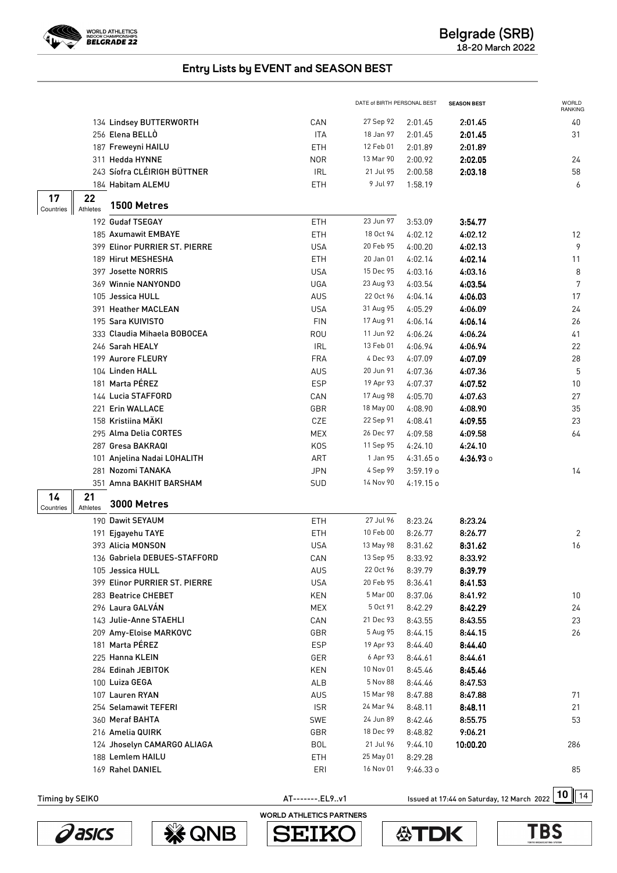

|                                                  |                  | DATE of BIRTH PERSONAL BEST |             | <b>SEASON BEST</b> | <b>WORLD</b><br>RANKING |
|--------------------------------------------------|------------------|-----------------------------|-------------|--------------------|-------------------------|
| 134 Lindsey BUTTERWORTH                          | CAN              | 27 Sep 92                   | 2:01.45     | 2:01.45            | 40                      |
| 256 Elena BELLÒ                                  | <b>ITA</b>       | 18 Jan 97                   | 2:01.45     | 2:01.45            | 31                      |
| 187 Freweyni HAILU                               | ETH              | 12 Feb 01                   | 2:01.89     | 2:01.89            |                         |
| 311 Hedda HYNNE                                  | <b>NOR</b>       | 13 Mar 90                   | 2:00.92     | 2:02.05            | 24                      |
| 243 Síofra CLÉIRIGH BÜTTNER                      | <b>IRL</b>       | 21 Jul 95                   | 2:00.58     | 2:03.18            | 58                      |
| 184 Habitam ALEMU                                | ETH              | 9 Jul 97                    | 1:58.19     |                    | 6                       |
| 17<br>22                                         |                  |                             |             |                    |                         |
| 1500 Metres<br>Athletes<br>Countries             |                  |                             |             |                    |                         |
| 192 Gudaf TSEGAY                                 | ETH              | 23 Jun 97                   | 3:53.09     | 3:54.77            |                         |
| 185 Axumawit EMBAYE                              | ETH              | 18 Oct 94                   | 4:02.12     | 4:02.12            | 12                      |
| 399 Elinor PURRIER ST. PIERRE                    | <b>USA</b>       | 20 Feb 95                   | 4:00.20     | 4:02.13            | 9                       |
| 189 Hirut MESHESHA                               | ETH              | 20 Jan 01                   | 4:02.14     | 4:02.14            | 11                      |
| 397 Josette NORRIS                               | <b>USA</b>       | 15 Dec 95                   | 4:03.16     | 4:03.16            | 8                       |
| 369 Winnie NANYONDO                              | <b>UGA</b>       | 23 Aug 93                   | 4:03.54     | 4:03.54            | $\overline{7}$          |
| 105 Jessica HULL                                 | AUS              | 22 Oct 96                   | 4:04.14     | 4:06.03            | 17                      |
| 391 Heather MACLEAN                              | <b>USA</b>       | 31 Aug 95                   | 4:05.29     | 4:06.09            | 24                      |
| 195 Sara KUIVISTO                                | <b>FIN</b>       | 17 Aug 91                   | 4:06.14     | 4:06.14            | 26                      |
| 333 Claudia Mihaela BOBOCEA                      | ROU              | 11 Jun 92                   | 4:06.24     | 4:06.24            | 41                      |
| 246 Sarah HEALY                                  | <b>IRL</b>       | 13 Feb 01                   | 4:06.94     | 4:06.94            | 22                      |
| 199 Aurore FLEURY                                | <b>FRA</b>       | 4 Dec 93                    | 4:07.09     | 4:07.09            | 28                      |
| 104 Linden HALL                                  | AUS              | 20 Jun 91                   | 4:07.36     | 4:07.36            | 5                       |
| 181 Marta PÉREZ                                  | <b>ESP</b>       | 19 Apr 93                   | 4:07.37     | 4:07.52            | 10                      |
| 144 Lucia STAFFORD                               | CAN              | 17 Aug 98                   | 4:05.70     | 4:07.63            | 27                      |
| 221 Erin WALLACE                                 | GBR              | 18 May 00                   | 4:08.90     | 4:08.90            | 35                      |
| 158 Kristiina MÄKI                               | CZE              | 22 Sep 91                   | 4:08.41     | 4:09.55            | 23                      |
| 295 Alma Delia CORTES                            | MEX              | 26 Dec 97                   | 4:09.58     | 4:09.58            | 64                      |
| 287 Gresa BAKRAQI                                | K <sub>O</sub> S | 11 Sep 95                   | 4:24.10     | 4:24.10            |                         |
| 101 Anjelina Nadai LOHALITH                      | ART              | 1 Jan 95                    | $4:31.65$ o | 4:36.93 0          |                         |
| 281 Nozomi TANAKA                                | <b>JPN</b>       | 4 Sep 99                    | $3:59.19$ o |                    | 14                      |
| 351 Amna BAKHIT BARSHAM                          | SUD              | 14 Nov 90                   | 4:19.15o    |                    |                         |
| 21<br>14<br>3000 Metres<br>Athletes<br>Countries |                  |                             |             |                    |                         |
| 190 Dawit SEYAUM                                 |                  | 27 Jul 96                   |             | 8:23.24            |                         |
|                                                  | ETH              | 10 Feb 00                   | 8:23.24     | 8:26.77            |                         |
| 191 Ejgayehu TAYE                                | ETH              |                             | 8:26.77     |                    | 2                       |
| 393 Alicia MONSON                                | <b>USA</b>       | 13 May 98                   | 8:31.62     | 8:31.62            | 16                      |
| 136 Gabriela DEBUES-STAFFORD                     | CAN              | 13 Sep 95                   | 8:33.92     | 8:33.92            |                         |
| 105 Jessica HULL                                 | <b>AUS</b>       | 22 Oct 96                   | 8:39.79     | 8:39.79            |                         |
| 399 Elinor PURRIER ST. PIERRE                    | USA              | 20 Feb 95                   | 8:36.41     | 8:41.53            |                         |
| 283 Beatrice CHEBET                              | KEN              | 5 Mar 00                    | 8:37.06     | 8:41.92            | 10                      |
| 296 Laura GALVÁN                                 | <b>MEX</b>       | 5 Oct 91                    | 8:42.29     | 8:42.29            | $24\,$                  |
| 143 Julie-Anne STAEHLI                           | CAN              | 21 Dec 93                   | 8:43.55     | 8:43.55            | 23                      |
| 209 Amy-Eloise MARKOVC                           | GBR              | 5 Aug 95                    | 8:44.15     | 8:44.15            | 26                      |
| 181 Marta PÉREZ                                  | <b>ESP</b>       | 19 Apr 93                   | 8:44.40     | 8:44.40            |                         |
| 225 Hanna KLEIN                                  | GER              | 6 Apr 93                    | 8:44.61     | 8:44.61            |                         |
| 284 Edinah JEBITOK                               | KEN              | 10 Nov 01                   | 8:45.46     | 8:45.46            |                         |
| 100 Luiza GEGA                                   | ALB              | 5 Nov 88                    | 8:44.46     | 8:47.53            |                         |
| 107 Lauren RYAN                                  | <b>AUS</b>       | 15 Mar 98                   | 8:47.88     | 8:47.88            | 71                      |
| 254 Selamawit TEFERI                             | <b>ISR</b>       | 24 Mar 94                   | 8:48.11     | 8:48.11            | 21                      |
| 360 Meraf BAHTA                                  | <b>SWE</b>       | 24 Jun 89                   | 8:42.46     | 8:55.75            | 53                      |
| 216 Amelia QUIRK                                 | GBR              | 18 Dec 99                   | 8:48.82     | 9:06.21            |                         |
| 124 Jhoselyn CAMARGO ALIAGA                      | <b>BOL</b>       | 21 Jul 96                   | 9:44.10     | 10:00.20           | 286                     |
| 188 Lemlem HAILU                                 | ETH              | 25 May 01                   | 8:29.28     |                    |                         |
| 169 Rahel DANIEL                                 | ERI              | 16 Nov 01                   | $9:46.33$ o |                    | 85                      |





WORLD ATHLETICS PARTNERS

**SEIK** 

S



AT--------.EL9..v1 **10** Issued at 17:44 on Saturday, 12 March 2022 10 14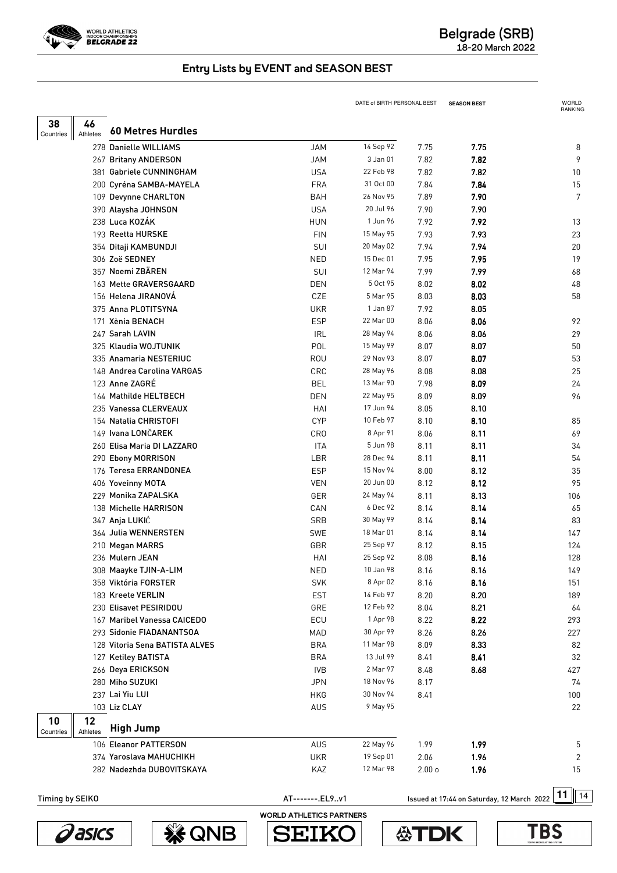

|                 |          |                                                 |                          | DATE of BIRTH PERSONAL BEST |                   | <b>SEASON BEST</b>                         | WORLD<br>RANKING |
|-----------------|----------|-------------------------------------------------|--------------------------|-----------------------------|-------------------|--------------------------------------------|------------------|
| 38              | 46       | 60 Metres Hurdles                               |                          |                             |                   |                                            |                  |
| Countries       | Athletes |                                                 |                          |                             |                   |                                            |                  |
|                 |          | 278 Danielle WILLIAMS                           | <b>JAM</b><br><b>JAM</b> | 14 Sep 92<br>3 Jan 01       | 7.75<br>7.82      | 7.75                                       | 8<br>9           |
|                 |          | 267 Britany ANDERSON<br>381 Gabriele CUNNINGHAM | <b>USA</b>               | 22 Feb 98                   | 7.82              | 7.82<br>7.82                               | 10               |
|                 |          | 200 Cyréna SAMBA-MAYELA                         | <b>FRA</b>               | 31 Oct 00                   | 7.84              | 7.84                                       | 15               |
|                 |          | 109 Devynne CHARLTON                            | <b>BAH</b>               | 26 Nov 95                   | 7.89              | 7.90                                       | 7                |
|                 |          | 390 Alaysha JOHNSON                             | <b>USA</b>               | 20 Jul 96                   | 7.90              | 7.90                                       |                  |
|                 |          | 238 Luca KOZÁK                                  | <b>HUN</b>               | 1 Jun 96                    | 7.92              | 7.92                                       | 13               |
|                 |          | 193 Reetta HURSKE                               | <b>FIN</b>               | 15 May 95                   | 7.93              | 7.93                                       | 23               |
|                 |          | 354 Ditaji KAMBUNDJI                            | SUI                      | 20 May 02                   | 7.94              | 7.94                                       | 20               |
|                 |          | 306 Zoë SEDNEY                                  | <b>NED</b>               | 15 Dec 01                   | 7.95              | 7.95                                       | 19               |
|                 |          | 357 Noemi ZBÄREN                                | SUI                      | 12 Mar 94                   | 7.99              | 7.99                                       | 68               |
|                 |          | 163 Mette GRAVERSGAARD                          | <b>DEN</b>               | 5 Oct 95                    | 8.02              | 8.02                                       | 48               |
|                 |          | 156 Helena JIRANOVÁ                             | CZE                      | 5 Mar 95                    | 8.03              | 8.03                                       | 58               |
|                 |          | 375 Anna PLOTITSYNA                             | <b>UKR</b>               | 1 Jan 87                    | 7.92              | 8.05                                       |                  |
|                 |          | 171 Xènia BENACH                                | <b>ESP</b>               | 22 Mar 00                   | 8.06              | 8.06                                       | 92               |
|                 |          | 247 Sarah LAVIN                                 | <b>IRL</b>               | 28 May 94                   | 8.06              | 8.06                                       | 29               |
|                 |          | 325 Klaudia WOJTUNIK                            | POL                      | 15 May 99                   | 8.07              | 8.07                                       | 50               |
|                 |          | 335 Anamaria NESTERIUC                          | <b>ROU</b>               | 29 Nov 93                   | 8.07              | 8.07                                       | 53               |
|                 |          | 148 Andrea Carolina VARGAS                      | CRC                      | 28 May 96                   | 8.08              | 8.08                                       | 25               |
|                 |          | 123 Anne ZAGRÉ                                  | <b>BEL</b>               | 13 Mar 90                   | 7.98              | 8.09                                       | 24               |
|                 |          | 164 Mathilde HELTBECH                           | <b>DEN</b>               | 22 May 95                   | 8.09              | 8.09                                       | 96               |
|                 |          | 235 Vanessa CLERVEAUX                           | HAI                      | 17 Jun 94                   | 8.05              | 8.10                                       |                  |
|                 |          | 154 Natalia CHRISTOFI                           | <b>CYP</b>               | 10 Feb 97                   | 8.10              | 8.10                                       | 85               |
|                 |          | 149 Ivana LONČAREK                              | CR <sub>0</sub>          | 8 Apr 91                    | 8.06              | 8.11                                       | 69               |
|                 |          | 260 Elisa Maria DI LAZZARO                      | <b>ITA</b>               | 5 Jun 98                    | 8.11              | 8.11                                       | 34               |
|                 |          | 290 Ebony MORRISON                              | LBR                      | 28 Dec 94                   | 8.11              | 8.11                                       | 54               |
|                 |          | 176 Teresa ERRANDONEA                           | <b>ESP</b>               | 15 Nov 94                   | 8.00              | 8.12                                       | 35               |
|                 |          | 406 Yoveinny MOTA                               | VEN                      | 20 Jun 00                   | 8.12              | 8.12                                       | 95               |
|                 |          | 229 Monika ZAPALSKA                             | GER                      | 24 May 94                   | 8.11              | 8.13                                       | 106              |
|                 |          | 138 Michelle HARRISON                           | CAN                      | 6 Dec 92                    | 8.14              | 8.14                                       | 65               |
|                 |          | 347 Anja LUKIĆ                                  | <b>SRB</b>               | 30 May 99                   | 8.14              | 8.14                                       | 83               |
|                 |          | 364 Julia WENNERSTEN                            | <b>SWE</b>               | 18 Mar 01                   | 8.14              | 8.14                                       | 147              |
|                 |          | 210 Megan MARRS                                 | GBR                      | 25 Sep 97                   | 8.12              | 8.15                                       | 124              |
|                 |          | 236 Mulern JEAN                                 | HAI                      | 25 Sep 92                   | 8.08              | 8.16                                       | 128              |
|                 |          | 308 Maayke TJIN-A-LIM                           | <b>NED</b>               | 10 Jan 98                   | 8.16              | 8.16                                       | 149              |
|                 |          | 358 Viktória FORSTER                            | <b>SVK</b>               | 8 Apr 02                    | 8.16              | 8.16                                       | 151              |
|                 |          | 183 Kreete VERLIN                               | <b>EST</b>               | 14 Feb 97                   | 8.20              | 8.20                                       | 189              |
|                 |          | 230 Elisavet PESIRIDOU                          | GRE                      | 12 Feb 92                   | 8.04              | 8.21                                       | 64               |
|                 |          | 167 Maribel Vanessa CAICEDO                     | ECU                      | 1 Apr 98                    | 8.22              | 8.22                                       | 293              |
|                 |          | 293 Sidonie FIADANANTSOA                        | MAD                      | 30 Apr 99                   | 8.26              | 8.26                                       | 227              |
|                 |          | 128 Vitoria Sena BATISTA ALVES                  | BRA                      | 11 Mar 98                   | 8.09              | 8.33                                       | 82               |
|                 |          | 127 Ketiley BATISTA                             | <b>BRA</b>               | 13 Jul 99                   | 8.41              | 8.41                                       | 32               |
|                 |          | 266 Deya ERICKSON                               | <b>IVB</b>               | 2 Mar 97                    | 8.48              | 8.68                                       | 427              |
|                 |          | 280 Miho SUZUKI                                 | <b>JPN</b>               | 18 Nov 96                   | 8.17              |                                            | 74               |
|                 |          | 237 Lai Yiu LUI                                 | HKG                      | 30 Nov 94                   | 8.41              |                                            | 100              |
|                 |          | 103 Liz CLAY                                    | AUS                      | 9 May 95                    |                   |                                            | 22               |
| 10              | 12       | <b>High Jump</b>                                |                          |                             |                   |                                            |                  |
| Countries       | Athletes | 106 Eleanor PATTERSON                           |                          | 22 May 96                   |                   |                                            |                  |
|                 |          |                                                 | <b>AUS</b>               | 19 Sep 01                   | 1.99              | 1.99                                       | 5                |
|                 |          | 374 Yaroslava MAHUCHIKH                         | <b>UKR</b>               | 12 Mar 98                   | 2.06              | 1.96                                       | 2                |
|                 |          | 282 Nadezhda DUBOVITSKAYA                       | KAZ                      |                             | 2.00 <sub>o</sub> | 1.96                                       | 15               |
| Timing by SEIKO |          |                                                 | AT-------.EL9v1          |                             |                   | Issued at 17:44 on Saturday, 12 March 2022 | 11<br>14         |





WORLD ATHLETICS PARTNERS

**SEIK** 

S



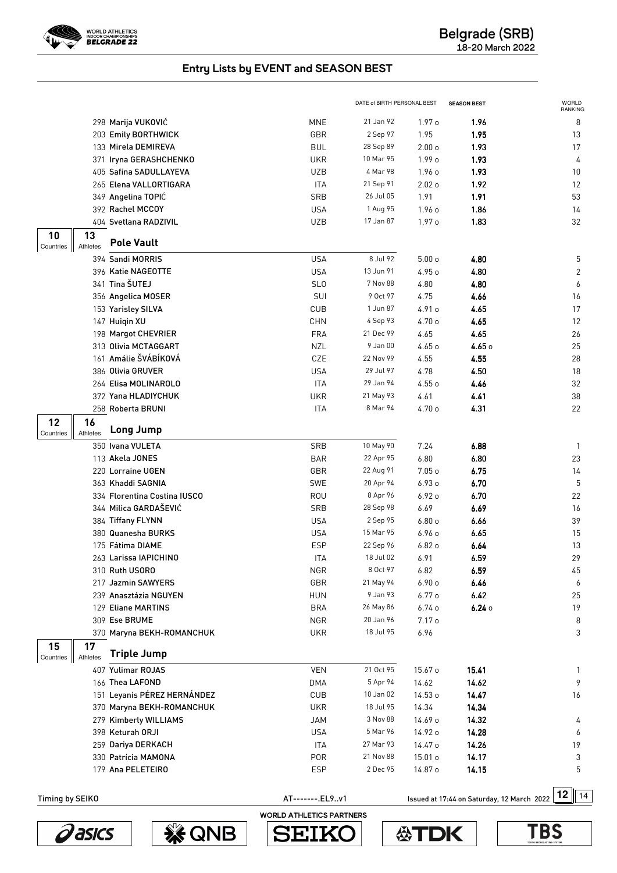

|                                                         |                 | DATE of BIRTH PERSONAL BEST |                   | <b>SEASON BEST</b>                         | <b>WORLD</b><br>RANKING |
|---------------------------------------------------------|-----------------|-----------------------------|-------------------|--------------------------------------------|-------------------------|
| 298 Marija VUKOVIĆ                                      | <b>MNE</b>      | 21 Jan 92                   | 1.97 <sub>o</sub> | 1.96                                       | 8                       |
| 203 Emily BORTHWICK                                     | GBR             | 2 Sep 97                    | 1.95              | 1.95                                       | 13                      |
| 133 Mirela DEMIREVA                                     | <b>BUL</b>      | 28 Sep 89                   | 2.00 <sub>o</sub> | 1.93                                       | 17                      |
| 371 Iryna GERASHCHENKO                                  | <b>UKR</b>      | 10 Mar 95                   | 1.99 o            | 1.93                                       | 4                       |
| 405 Safina SADULLAYEVA                                  | <b>UZB</b>      | 4 Mar 98                    | 1.96o             | 1.93                                       | 10                      |
| 265 Elena VALLORTIGARA                                  | <b>ITA</b>      | 21 Sep 91                   | 2.02 <sub>o</sub> | 1.92                                       | 12                      |
| 349 Angelina TOPIĆ                                      | SRB             | 26 Jul 05                   | 1.91              | 1.91                                       | 53                      |
| 392 Rachel MCCOY                                        | <b>USA</b>      | 1 Aug 95                    | 1.96 o            | 1.86                                       | 14                      |
| 404 Svetlana RADZIVIL                                   | <b>UZB</b>      | 17 Jan 87                   | 1.97 o            | 1.83                                       | 32                      |
| 10<br>13<br><b>Pole Vault</b><br>Athletes<br>Countries  |                 |                             |                   |                                            |                         |
| 394 Sandi MORRIS                                        | <b>USA</b>      | 8 Jul 92                    | 5.00 <sub>o</sub> | 4.80                                       | 5                       |
| 396 Katie NAGEOTTE                                      | <b>USA</b>      | 13 Jun 91                   | 4.95 o            | 4.80                                       | 2                       |
| 341 Tina ŠUTEJ                                          | SL <sub>0</sub> | 7 Nov 88                    | 4.80              | 4.80                                       | 6                       |
| 356 Angelica MOSER                                      | SUI             | 9 Oct 97                    | 4.75              | 4.66                                       | 16                      |
| 153 Yarisley SILVA                                      | CUB             | 1 Jun 87                    | 4.91 o            | 4.65                                       | 17                      |
| 147 Huigin XU                                           | CHN             | 4 Sep 93                    | 4.70 o            | 4.65                                       | 12                      |
| 198 Margot CHEVRIER                                     | <b>FRA</b>      | 21 Dec 99                   | 4.65              | 4.65                                       | 26                      |
| 313 Olivia MCTAGGART                                    | <b>NZL</b>      | 9 Jan 00                    | 4.65 o            | 4.650                                      | 25                      |
| 161 Amálie ŠVÁBÍKOVÁ                                    | CZE             | 22 Nov 99                   | 4.55              | 4.55                                       | 28                      |
| 386 Olivia GRUVER                                       | <b>USA</b>      | 29 Jul 97                   | 4.78              | 4.50                                       | 18                      |
| 264 Elisa MOLINAROLO                                    | <b>ITA</b>      | 29 Jan 94                   | 4.55 o            | 4.46                                       | 32                      |
| 372 Yana HLADIYCHUK                                     | <b>UKR</b>      | 21 May 93                   | 4.61              | 4.41                                       | 38                      |
| 258 Roberta BRUNI                                       | <b>ITA</b>      | 8 Mar 94                    | 4.70 o            | 4.31                                       | 22                      |
| 12<br>16<br><b>Long Jump</b><br>Athletes<br>Countries   |                 |                             |                   |                                            |                         |
| 350 Ivana VULETA                                        | <b>SRB</b>      | 10 May 90                   | 7.24              | 6.88                                       | $\mathbf{1}$            |
| 113 Akela JONES                                         | <b>BAR</b>      | 22 Apr 95                   | 6.80              | 6.80                                       | 23                      |
| 220 Lorraine UGEN                                       | GBR             | 22 Aug 91                   | 7.05 <sub>o</sub> | 6.75                                       | 14                      |
| 363 Khaddi SAGNIA                                       | SWE             | 20 Apr 94                   | 6.93 o            | 6.70                                       | 5                       |
| 334 Florentina Costina IUSCO                            | ROU             | 8 Apr 96                    | 6.92 o            | 6.70                                       | 22                      |
| 344 Milica GARDAŠEVIĆ                                   | <b>SRB</b>      | 28 Sep 98                   | 6.69              | 6.69                                       | 16                      |
| 384 Tiffany FLYNN                                       | <b>USA</b>      | 2 Sep 95                    | 6.80o             | 6.66                                       | 39                      |
| 380 Quanesha BURKS                                      | <b>USA</b>      | 15 Mar 95                   | 6.960             | 6.65                                       | 15                      |
| 175 Fátima DIAME                                        | <b>ESP</b>      | 22 Sep 96                   | 6.82o             | 6.64                                       | 13                      |
| 263 Larissa IAPICHINO                                   | <b>ITA</b>      | 18 Jul 02                   | 6.91              | 6.59                                       | 29                      |
| 310 Ruth USORO                                          | <b>NGR</b>      | 8 Oct 97                    | 6.82              | 6.59                                       | 45                      |
| 217 Jazmin SAWYERS                                      | GBR             | 21 May 94                   | 6.90o             | 6.46                                       | 6                       |
| 239 Anasztázia NGUYEN                                   | <b>HUN</b>      | 9 Jan 93                    | 6.77 <sub>o</sub> | 6.42                                       | 25                      |
| 129 Eliane MARTINS                                      | <b>BRA</b>      | 26 May 86                   | 6.74o             | 6.240                                      | 19                      |
| 309 Ese BRUME                                           | <b>NGR</b>      | 20 Jan 96                   | 7.17 <sub>o</sub> |                                            | 8                       |
| 370 Maryna BEKH-ROMANCHUK                               | <b>UKR</b>      | 18 Jul 95                   | 6.96              |                                            | 3                       |
| 15<br>17<br><b>Triple Jump</b><br>Athletes<br>Countries |                 |                             |                   |                                            |                         |
| 407 Yulimar ROJAS                                       | <b>VEN</b>      | 21 Oct 95                   | 15.67 o           | 15.41                                      |                         |
| 166 Thea LAFOND                                         | <b>DMA</b>      | 5 Apr 94                    | 14.62             | 14.62                                      | 9                       |
| 151 Leyanis PÉREZ HERNÁNDEZ                             | CUB             | 10 Jan 02                   | 14.53 o           | 14.47                                      | 16                      |
| 370 Maryna BEKH-ROMANCHUK                               | <b>UKR</b>      | 18 Jul 95                   | 14.34             | 14.34                                      |                         |
| 279 Kimberly WILLIAMS                                   | <b>JAM</b>      | 3 Nov 88                    | 14.69 o           | 14.32                                      | 4                       |
| 398 Keturah ORJI                                        | <b>USA</b>      | 5 Mar 96                    | 14.92 o           | 14.28                                      | 6                       |
| 259 Dariya DERKACH                                      | ITA             | 27 Mar 93                   | 14.47 o           | 14.26                                      | 19                      |
| 330 Patrícia MAMONA                                     | <b>POR</b>      | 21 Nov 88                   | 15.01 o           | 14.17                                      | 3                       |
| 179 Ana PELETEIRO                                       | <b>ESP</b>      | 2 Dec 95                    | 14.87 o           | 14.15                                      | 5                       |
| Timing by SEIKO                                         | AT-------.EL9v1 |                             |                   | Issued at 17:44 on Saturday, 12 March 2022 | 12<br>14                |





WORLD ATHLETICS PARTNERS

**SEIK** 

S

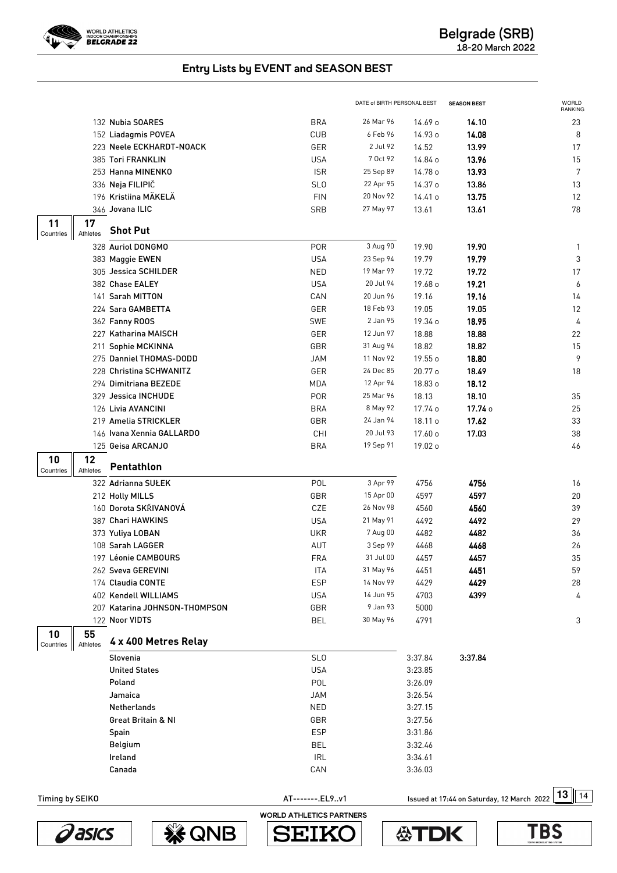

|                 |                |                               |                                 | DATE of BIRTH PERSONAL BEST |         | <b>SEASON BEST</b>                         | <b>WORLD</b><br>RANKING |
|-----------------|----------------|-------------------------------|---------------------------------|-----------------------------|---------|--------------------------------------------|-------------------------|
|                 |                | 132 Nubia SOARES              | <b>BRA</b>                      | 26 Mar 96                   | 14.69 o | 14.10                                      | 23                      |
|                 |                | 152 Liadagmis POVEA           | CUB                             | 6 Feb 96                    | 14.93 o | 14.08                                      | 8                       |
|                 |                | 223 Neele ECKHARDT-NOACK      | GER                             | 2 Jul 92                    | 14.52   | 13.99                                      | 17                      |
|                 |                | 385 Tori FRANKLIN             | <b>USA</b>                      | 7 Oct 92                    | 14.84 o | 13.96                                      | 15                      |
|                 |                | 253 Hanna MINENKO             | <b>ISR</b>                      | 25 Sep 89                   | 14.78 o | 13.93                                      | 7                       |
|                 |                | 336 Neja FILIPIČ              | SL <sub>0</sub>                 | 22 Apr 95                   | 14.37 o | 13.86                                      | 13                      |
|                 |                | 196 Kristiina MÄKELÄ          | <b>FIN</b>                      | 20 Nov 92                   | 14.41 o | 13.75                                      | 12                      |
|                 |                | 346 Jovana ILIC               | SRB                             | 27 May 97                   | 13.61   | 13.61                                      | 78                      |
| 11<br>Countries | 17<br>Athletes | <b>Shot Put</b>               |                                 |                             |         |                                            |                         |
|                 |                | 328 Auriol DONGMO             | <b>POR</b>                      | 3 Aug 90                    | 19.90   | 19.90                                      | $\mathbf{1}$            |
|                 |                | 383 Maggie EWEN               | <b>USA</b>                      | 23 Sep 94                   | 19.79   | 19.79                                      | 3                       |
|                 |                | 305 Jessica SCHILDER          | <b>NED</b>                      | 19 Mar 99                   | 19.72   | 19.72                                      | 17                      |
|                 |                | 382 Chase EALEY               | <b>USA</b>                      | 20 Jul 94                   | 19.68 o | 19.21                                      | 6                       |
|                 |                | 141 Sarah MITTON              | CAN                             | 20 Jun 96                   | 19.16   | 19.16                                      | 14                      |
|                 |                | 224 Sara GAMBETTA             | GER                             | 18 Feb 93                   | 19.05   | 19.05                                      | 12                      |
|                 |                | 362 Fanny ROOS                | SWE                             | 2 Jan 95                    | 19.34 o | 18.95                                      | 4                       |
|                 |                | 227 Katharina MAISCH          | GER                             | 12 Jun 97                   | 18.88   | 18.88                                      | 22                      |
|                 |                | 211 Sophie MCKINNA            | GBR                             | 31 Aug 94                   | 18.82   | 18.82                                      | 15                      |
|                 |                | 275 Danniel THOMAS-DODD       | <b>JAM</b>                      | 11 Nov 92                   | 19.55 o | 18.80                                      | 9                       |
|                 |                | 228 Christina SCHWANITZ       | GER                             | 24 Dec 85                   | 20.77 o | 18.49                                      | 18                      |
|                 |                | 294 Dimitriana BEZEDE         | MDA                             | 12 Apr 94                   | 18.83 o | 18.12                                      |                         |
|                 |                | 329 Jessica INCHUDE           | <b>POR</b>                      | 25 Mar 96                   | 18.13   | 18.10                                      | 35                      |
|                 |                | 126 Livia AVANCINI            | <b>BRA</b>                      | 8 May 92                    | 17.74 o | 17.74 0                                    | 25                      |
|                 |                | 219 Amelia STRICKLER          | GBR                             | 24 Jan 94                   | 18.11 o | 17.62                                      | 33                      |
|                 |                | 146 Ivana Xennia GALLARDO     | CHI                             | 20 Jul 93                   | 17.60 o | 17.03                                      | 38                      |
|                 |                | 125 Geisa ARCANJO             | <b>BRA</b>                      | 19 Sep 91                   | 19.02 o |                                            | 46                      |
| 10              | 12             | Pentathlon                    |                                 |                             |         |                                            |                         |
| Countries       | Athletes       | 322 Adrianna SUŁEK            | POL                             | 3 Apr 99                    | 4756    | 4756                                       | 16                      |
|                 |                | 212 Holly MILLS               | GBR                             | 15 Apr 00                   | 4597    | 4597                                       | 20                      |
|                 |                | 160 Dorota SKŘIVANOVÁ         | CZE                             | 26 Nov 98                   | 4560    | 4560                                       | 39                      |
|                 |                | 387 Chari HAWKINS             | <b>USA</b>                      | 21 May 91                   | 4492    | 4492                                       | 29                      |
|                 |                | 373 Yuliya LOBAN              | <b>UKR</b>                      | 7 Aug 00                    | 4482    | 4482                                       | 36                      |
|                 |                | 108 Sarah LAGGER              | AUT                             | 3 Sep 99                    | 4468    | 4468                                       | 26                      |
|                 |                | 197 Léonie CAMBOURS           | <b>FRA</b>                      | 31 Jul 00                   | 4457    | 4457                                       | 35                      |
|                 |                | 262 Sveva GEREVINI            | <b>ITA</b>                      | 31 May 96                   | 4451    | 4451                                       | 59                      |
|                 |                | 174 Claudia CONTE             | <b>ESP</b>                      | 14 Nov 99                   | 4429    | 4429                                       | 28                      |
|                 |                | 402 Kendell WILLIAMS          | <b>USA</b>                      | 14 Jun 95                   | 4703    | 4399                                       | 4                       |
|                 |                | 207 Katarina JOHNSON-THOMPSON | GBR                             | 9 Jan 93                    | 5000    |                                            |                         |
|                 |                | 122 Noor VIDTS                | <b>BEL</b>                      | 30 May 96                   | 4791    |                                            | 3                       |
| 10              | 55             | 4 x 400 Metres Relay          |                                 |                             |         |                                            |                         |
| Countries       | Athletes       | Slovenia                      | <b>SLO</b>                      |                             | 3:37.84 | 3:37.84                                    |                         |
|                 |                | <b>United States</b>          | <b>USA</b>                      |                             | 3:23.85 |                                            |                         |
|                 |                | Poland                        | POL                             |                             | 3:26.09 |                                            |                         |
|                 |                | Jamaica                       | <b>JAM</b>                      |                             | 3:26.54 |                                            |                         |
|                 |                | Netherlands                   | <b>NED</b>                      |                             | 3:27.15 |                                            |                         |
|                 |                | <b>Great Britain &amp; NI</b> | GBR                             |                             | 3:27.56 |                                            |                         |
|                 |                | Spain                         | <b>ESP</b>                      |                             | 3:31.86 |                                            |                         |
|                 |                | Belgium                       | <b>BEL</b>                      |                             | 3:32.46 |                                            |                         |
|                 |                | Ireland                       | <b>IRL</b>                      |                             | 3:34.61 |                                            |                         |
|                 |                | Canada                        | CAN                             |                             | 3:36.03 |                                            |                         |
|                 |                |                               |                                 |                             |         |                                            |                         |
| Timing by SEIKO |                |                               | AT-------.EL9v1                 |                             |         | Issued at 17:44 on Saturday, 12 March 2022 | 13<br>14                |
|                 |                |                               | <b>WORLD ATHLETICS PARTNERS</b> |                             |         |                                            |                         |